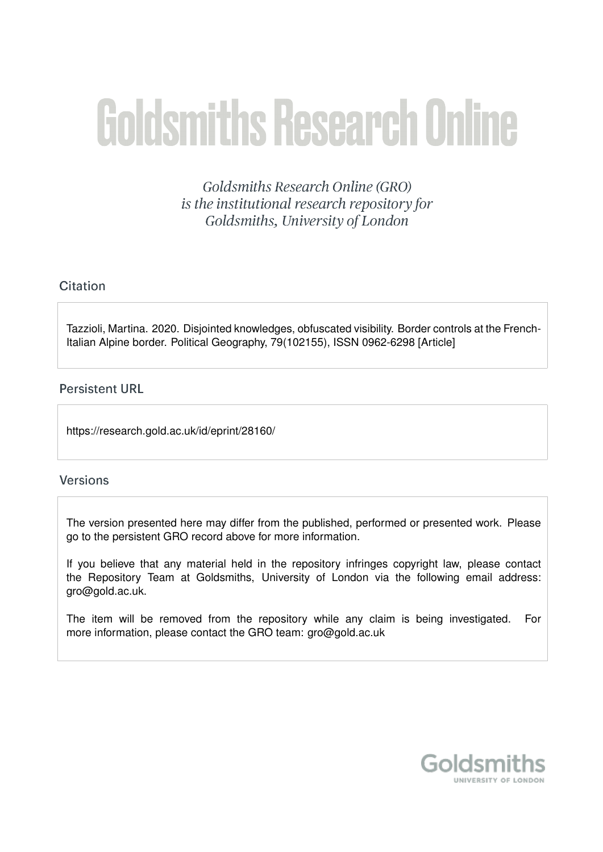# **Goldsmiths Research Online**

Goldsmiths Research Online (GRO) is the institutional research repository for Goldsmiths, University of London

# Citation

Tazzioli, Martina. 2020. Disjointed knowledges, obfuscated visibility. Border controls at the French-Italian Alpine border. Political Geography, 79(102155), ISSN 0962-6298 [Article]

# **Persistent URL**

https://research.gold.ac.uk/id/eprint/28160/

# **Versions**

The version presented here may differ from the published, performed or presented work. Please go to the persistent GRO record above for more information.

If you believe that any material held in the repository infringes copyright law, please contact the Repository Team at Goldsmiths, University of London via the following email address: gro@gold.ac.uk.

The item will be removed from the repository while any claim is being investigated. For more information, please contact the GRO team: gro@gold.ac.uk

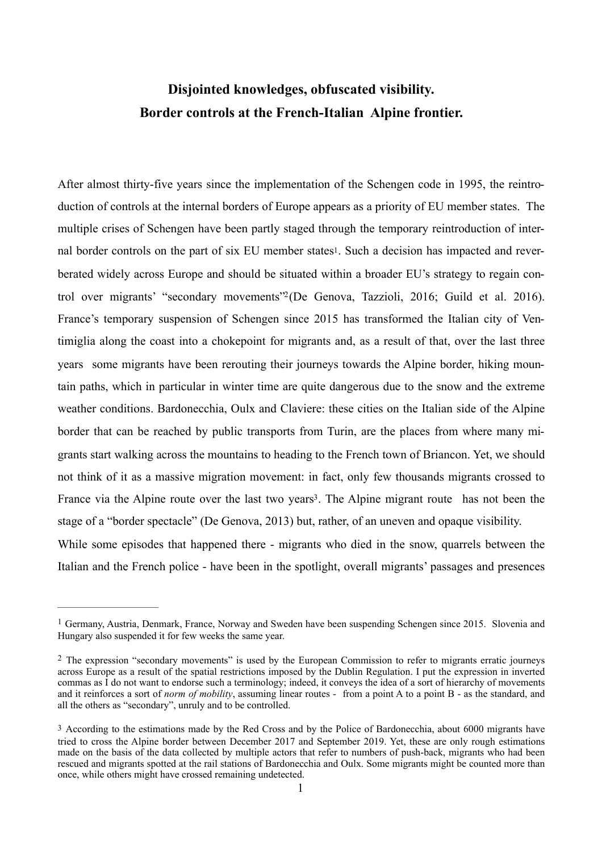# <span id="page-1-4"></span><span id="page-1-3"></span>**Disjointed knowledges, obfuscated visibility. Border controls at the French-Italian Alpine frontier.**

After almost thirty-five years since the implementation of the Schengen code in 1995, the reintroduction of controls at the internal borders of Europe appears as a priority of EU member states. The multiple crises of Schengen have been partly staged through the temporary reintroduction of internal border controls on the part of six EU member states<sup>1</sup>. Such a decision has impacted and reverberated widely across Europe and should be situated within a broader EU's strategy to regain con-trol over migrants' "secondary movements'<sup>[2](#page-1-1)</sup>(De Genova, Tazzioli, 2016; Guild et al. 2016). France's temporary suspension of Schengen since 2015 has transformed the Italian city of Ventimiglia along the coast into a chokepoint for migrants and, as a result of that, over the last three years some migrants have been rerouting their journeys towards the Alpine border, hiking mountain paths, which in particular in winter time are quite dangerous due to the snow and the extreme weather conditions. Bardonecchia, Oulx and Claviere: these cities on the Italian side of the Alpine border that can be reached by public transports from Turin, are the places from where many migrants start walking across the mountains to heading to the French town of Briancon. Yet, we should not think of it as a massive migration movement: in fact, only few thousands migrants crossed to France via the Alpine route over the last two years<sup>[3](#page-1-2)</sup>. The Alpine migrant route has not been the stage of a "border spectacle" (De Genova, 2013) but, rather, of an uneven and opaque visibility. While some episodes that happened there - migrants who died in the snow, quarrels between the Italian and the French police - have been in the spotlight, overall migrants' passages and presences

<span id="page-1-5"></span><span id="page-1-0"></span><sup>&</sup>lt;sup>[1](#page-1-3)</sup> Germany, Austria, Denmark, France, Norway and Sweden have been suspending Schengen since 2015. Slovenia and Hungary also suspended it for few weeks the same year.

<span id="page-1-1"></span><sup>&</sup>lt;sup>[2](#page-1-4)</sup> The expression "secondary movements" is used by the European Commission to refer to migrants erratic journeys across Europe as a result of the spatial restrictions imposed by the Dublin Regulation. I put the expression in inverted commas as I do not want to endorse such a terminology; indeed, it conveys the idea of a sort of hierarchy of movements and it reinforces a sort of *norm of mobility*, assuming linear routes - from a point A to a point B - as the standard, and all the others as "secondary", unruly and to be controlled.

<span id="page-1-2"></span>[<sup>3</sup>](#page-1-5) According to the estimations made by the Red Cross and by the Police of Bardonecchia, about 6000 migrants have tried to cross the Alpine border between December 2017 and September 2019. Yet, these are only rough estimations made on the basis of the data collected by multiple actors that refer to numbers of push-back, migrants who had been rescued and migrants spotted at the rail stations of Bardonecchia and Oulx. Some migrants might be counted more than once, while others might have crossed remaining undetected.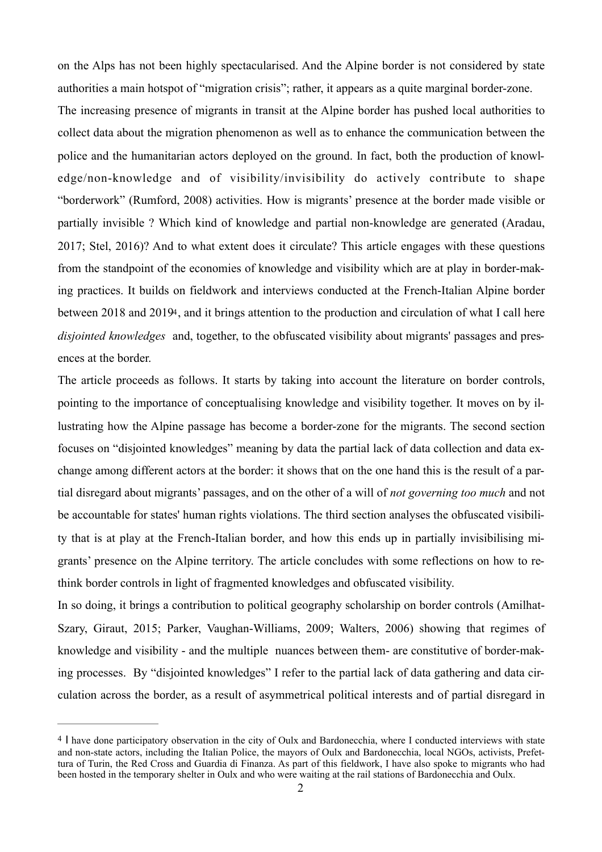on the Alps has not been highly spectacularised. And the Alpine border is not considered by state authorities a main hotspot of "migration crisis"; rather, it appears as a quite marginal border-zone.

The increasing presence of migrants in transit at the Alpine border has pushed local authorities to collect data about the migration phenomenon as well as to enhance the communication between the police and the humanitarian actors deployed on the ground. In fact, both the production of knowledge/non-knowledge and of visibility/invisibility do actively contribute to shape "borderwork" (Rumford, 2008) activities. How is migrants' presence at the border made visible or partially invisible ? Which kind of knowledge and partial non-knowledge are generated (Aradau, 2017; Stel, 2016)? And to what extent does it circulate? This article engages with these questions from the standpoint of the economies of knowledge and visibility which are at play in border-making practices. It builds on fieldwork and interviews conducted at the French-Italian Alpine border between 2018 and 201[94](#page-2-0), and it brings attention to the production and circulation of what I call here *disjointed knowledges* and, together, to the obfuscated visibility about migrants' passages and presences at the border.

<span id="page-2-1"></span>The article proceeds as follows. It starts by taking into account the literature on border controls, pointing to the importance of conceptualising knowledge and visibility together. It moves on by illustrating how the Alpine passage has become a border-zone for the migrants. The second section focuses on "disjointed knowledges" meaning by data the partial lack of data collection and data exchange among different actors at the border: it shows that on the one hand this is the result of a partial disregard about migrants' passages, and on the other of a will of *not governing too much* and not be accountable for states' human rights violations. The third section analyses the obfuscated visibility that is at play at the French-Italian border, and how this ends up in partially invisibilising migrants' presence on the Alpine territory. The article concludes with some reflections on how to rethink border controls in light of fragmented knowledges and obfuscated visibility.

In so doing, it brings a contribution to political geography scholarship on border controls (Amilhat-Szary, Giraut, 2015; Parker, Vaughan-Williams, 2009; Walters, 2006) showing that regimes of knowledge and visibility - and the multiple nuances between them- are constitutive of border-making processes. By "disjointed knowledges" I refer to the partial lack of data gathering and data circulation across the border, as a result of asymmetrical political interests and of partial disregard in

<span id="page-2-0"></span>[<sup>4</sup>](#page-2-1) I have done participatory observation in the city of Oulx and Bardonecchia, where I conducted interviews with state and non-state actors, including the Italian Police, the mayors of Oulx and Bardonecchia, local NGOs, activists, Prefettura of Turin, the Red Cross and Guardia di Finanza. As part of this fieldwork, I have also spoke to migrants who had been hosted in the temporary shelter in Oulx and who were waiting at the rail stations of Bardonecchia and Oulx.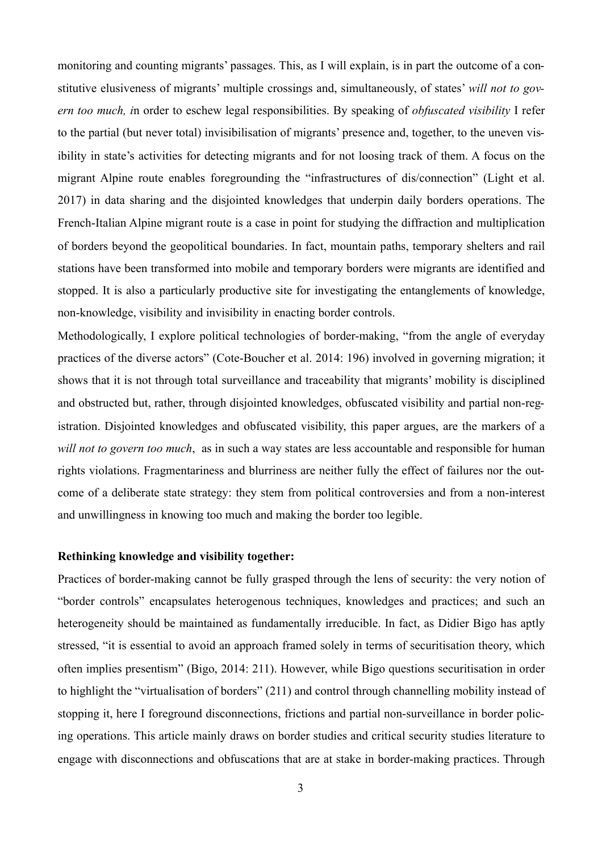monitoring and counting migrants' passages. This, as I will explain, is in part the outcome of a constitutive elusiveness of migrants' multiple crossings and, simultaneously, of states' *will not to govern too much, i*n order to eschew legal responsibilities. By speaking of *obfuscated visibility* I refer to the partial (but never total) invisibilisation of migrants' presence and, together, to the uneven visibility in state's activities for detecting migrants and for not loosing track of them. A focus on the migrant Alpine route enables foregrounding the "infrastructures of dis/connection" (Light et al. 2017) in data sharing and the disjointed knowledges that underpin daily borders operations. The French-Italian Alpine migrant route is a case in point for studying the diffraction and multiplication of borders beyond the geopolitical boundaries. In fact, mountain paths, temporary shelters and rail stations have been transformed into mobile and temporary borders were migrants are identified and stopped. It is also a particularly productive site for investigating the entanglements of knowledge, non-knowledge, visibility and invisibility in enacting border controls.

Methodologically, I explore political technologies of border-making, "from the angle of everyday practices of the diverse actors" (Cote-Boucher et al. 2014: 196) involved in governing migration; it shows that it is not through total surveillance and traceability that migrants' mobility is disciplined and obstructed but, rather, through disjointed knowledges, obfuscated visibility and partial non-registration. Disjointed knowledges and obfuscated visibility, this paper argues, are the markers of a *will not to govern too much*, as in such a way states are less accountable and responsible for human rights violations. Fragmentariness and blurriness are neither fully the effect of failures nor the outcome of a deliberate state strategy: they stem from political controversies and from a non-interest and unwillingness in knowing too much and making the border too legible.

#### **Rethinking knowledge and visibility together:**

Practices of border-making cannot be fully grasped through the lens of security: the very notion of "border controls" encapsulates heterogenous techniques, knowledges and practices; and such an heterogeneity should be maintained as fundamentally irreducible. In fact, as Didier Bigo has aptly stressed, "it is essential to avoid an approach framed solely in terms of securitisation theory, which often implies presentism" (Bigo, 2014: 211). However, while Bigo questions securitisation in order to highlight the "virtualisation of borders" (211) and control through channelling mobility instead of stopping it, here I foreground disconnections, frictions and partial non-surveillance in border policing operations. This article mainly draws on border studies and critical security studies literature to engage with disconnections and obfuscations that are at stake in border-making practices. Through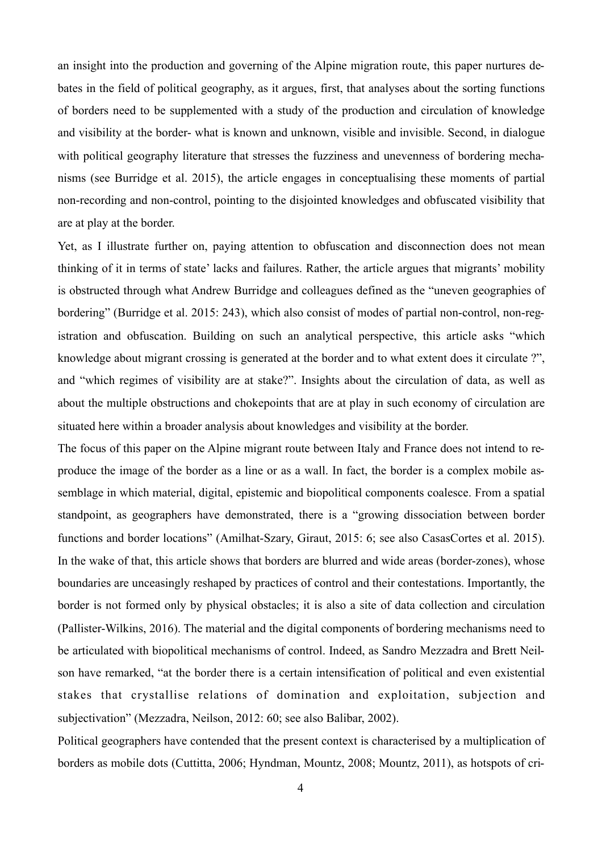an insight into the production and governing of the Alpine migration route, this paper nurtures debates in the field of political geography, as it argues, first, that analyses about the sorting functions of borders need to be supplemented with a study of the production and circulation of knowledge and visibility at the border- what is known and unknown, visible and invisible. Second, in dialogue with political geography literature that stresses the fuzziness and unevenness of bordering mechanisms (see Burridge et al. 2015), the article engages in conceptualising these moments of partial non-recording and non-control, pointing to the disjointed knowledges and obfuscated visibility that are at play at the border.

Yet, as I illustrate further on, paying attention to obfuscation and disconnection does not mean thinking of it in terms of state' lacks and failures. Rather, the article argues that migrants' mobility is obstructed through what Andrew Burridge and colleagues defined as the "uneven geographies of bordering" (Burridge et al. 2015: 243), which also consist of modes of partial non-control, non-registration and obfuscation. Building on such an analytical perspective, this article asks "which knowledge about migrant crossing is generated at the border and to what extent does it circulate ?", and "which regimes of visibility are at stake?". Insights about the circulation of data, as well as about the multiple obstructions and chokepoints that are at play in such economy of circulation are situated here within a broader analysis about knowledges and visibility at the border.

The focus of this paper on the Alpine migrant route between Italy and France does not intend to reproduce the image of the border as a line or as a wall. In fact, the border is a complex mobile assemblage in which material, digital, epistemic and biopolitical components coalesce. From a spatial standpoint, as geographers have demonstrated, there is a "growing dissociation between border functions and border locations" (Amilhat-Szary, Giraut, 2015: 6; see also CasasCortes et al. 2015). In the wake of that, this article shows that borders are blurred and wide areas (border-zones), whose boundaries are unceasingly reshaped by practices of control and their contestations. Importantly, the border is not formed only by physical obstacles; it is also a site of data collection and circulation (Pallister-Wilkins, 2016). The material and the digital components of bordering mechanisms need to be articulated with biopolitical mechanisms of control. Indeed, as Sandro Mezzadra and Brett Neilson have remarked, "at the border there is a certain intensification of political and even existential stakes that crystallise relations of domination and exploitation, subjection and subjectivation" (Mezzadra, Neilson, 2012: 60; see also Balibar, 2002).

Political geographers have contended that the present context is characterised by a multiplication of borders as mobile dots (Cuttitta, 2006; Hyndman, Mountz, 2008; Mountz, 2011), as hotspots of cri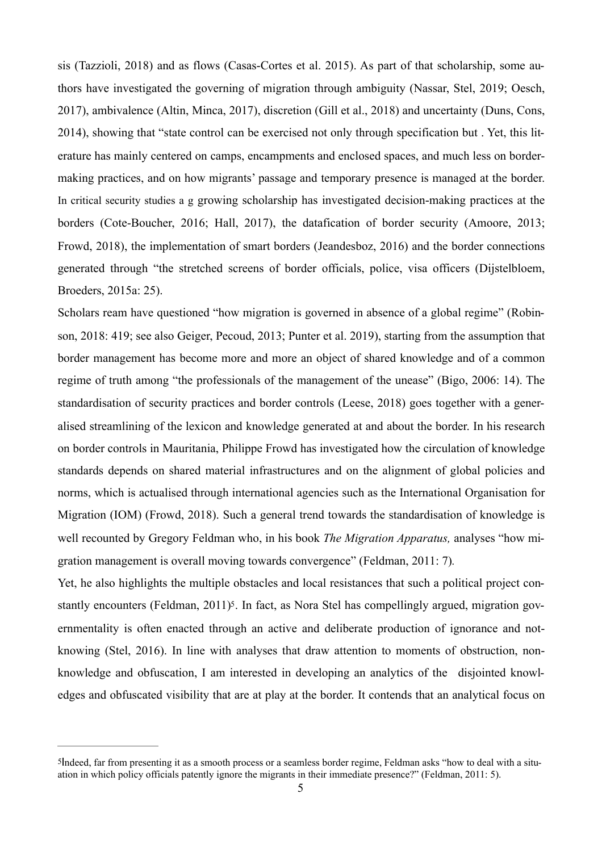sis (Tazzioli, 2018) and as flows (Casas-Cortes et al. 2015). As part of that scholarship, some authors have investigated the governing of migration through ambiguity (Nassar, Stel, 2019; Oesch, 2017), ambivalence (Altin, Minca, 2017), discretion (Gill et al., 2018) and uncertainty (Duns, Cons, 2014), showing that "state control can be exercised not only through specification but . Yet, this literature has mainly centered on camps, encampments and enclosed spaces, and much less on bordermaking practices, and on how migrants' passage and temporary presence is managed at the border. In critical security studies a g growing scholarship has investigated decision-making practices at the borders (Cote-Boucher, 2016; Hall, 2017), the datafication of border security (Amoore, 2013; Frowd, 2018), the implementation of smart borders (Jeandesboz, 2016) and the border connections generated through "the stretched screens of border officials, police, visa officers (Dijstelbloem, Broeders, 2015a: 25).

Scholars ream have questioned "how migration is governed in absence of a global regime" (Robinson, 2018: 419; see also Geiger, Pecoud, 2013; Punter et al. 2019), starting from the assumption that border management has become more and more an object of shared knowledge and of a common regime of truth among "the professionals of the management of the unease" (Bigo, 2006: 14). The standardisation of security practices and border controls (Leese, 2018) goes together with a generalised streamlining of the lexicon and knowledge generated at and about the border. In his research on border controls in Mauritania, Philippe Frowd has investigated how the circulation of knowledge standards depends on shared material infrastructures and on the alignment of global policies and norms, which is actualised through international agencies such as the International Organisation for Migration (IOM) (Frowd, 2018). Such a general trend towards the standardisation of knowledge is well recounted by Gregory Feldman who, in his book *The Migration Apparatus,* analyses "how migration management is overall moving towards convergence" (Feldman, 2011: 7)*.* 

<span id="page-5-1"></span>Yet, he also highlights the multiple obstacles and local resistances that such a political project constantly encounters (Feldman, 2011)<sup>5</sup>. In fact, as Nora Stel has compellingly argued, migration governmentality is often enacted through an active and deliberate production of ignorance and notknowing (Stel, 2016). In line with analyses that draw attention to moments of obstruction, nonknowledge and obfuscation, I am interested in developing an analytics of the disjointed knowledges and obfuscated visibility that are at play at the border. It contends that an analytical focus on

<span id="page-5-0"></span>[<sup>5</sup>](#page-5-1)Indeed, far from presenting it as a smooth process or a seamless border regime, Feldman asks "how to deal with a situation in which policy officials patently ignore the migrants in their immediate presence?" (Feldman, 2011: 5).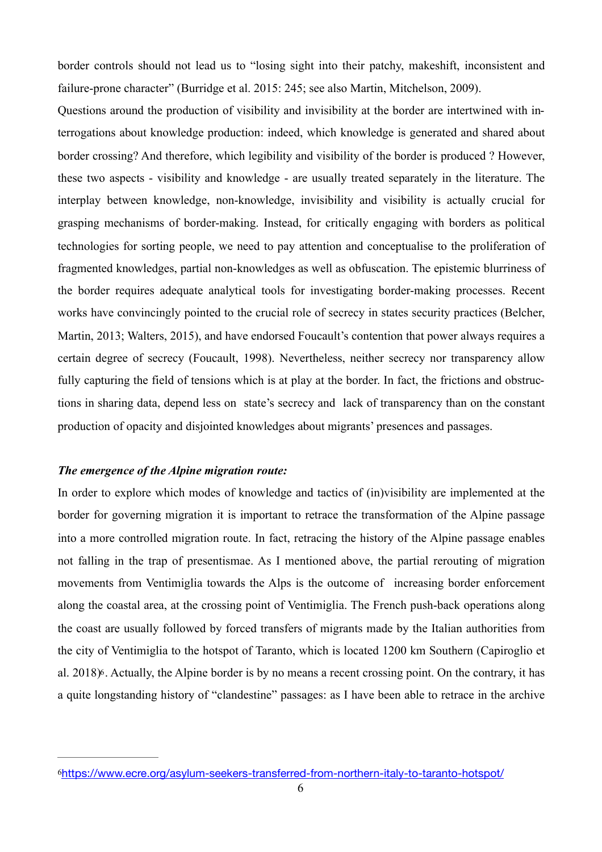border controls should not lead us to "losing sight into their patchy, makeshift, inconsistent and failure-prone character" (Burridge et al. 2015: 245; see also Martin, Mitchelson, 2009).

Questions around the production of visibility and invisibility at the border are intertwined with interrogations about knowledge production: indeed, which knowledge is generated and shared about border crossing? And therefore, which legibility and visibility of the border is produced ? However, these two aspects - visibility and knowledge - are usually treated separately in the literature. The interplay between knowledge, non-knowledge, invisibility and visibility is actually crucial for grasping mechanisms of border-making. Instead, for critically engaging with borders as political technologies for sorting people, we need to pay attention and conceptualise to the proliferation of fragmented knowledges, partial non-knowledges as well as obfuscation. The epistemic blurriness of the border requires adequate analytical tools for investigating border-making processes. Recent works have convincingly pointed to the crucial role of secrecy in states security practices (Belcher, Martin, 2013; Walters, 2015), and have endorsed Foucault's contention that power always requires a certain degree of secrecy (Foucault, 1998). Nevertheless, neither secrecy nor transparency allow fully capturing the field of tensions which is at play at the border. In fact, the frictions and obstructions in sharing data, depend less on state's secrecy and lack of transparency than on the constant production of opacity and disjointed knowledges about migrants' presences and passages.

#### *The emergence of the Alpine migration route:*

In order to explore which modes of knowledge and tactics of (in)visibility are implemented at the border for governing migration it is important to retrace the transformation of the Alpine passage into a more controlled migration route. In fact, retracing the history of the Alpine passage enables not falling in the trap of presentismae. As I mentioned above, the partial rerouting of migration movements from Ventimiglia towards the Alps is the outcome of increasing border enforcement along the coastal area, at the crossing point of Ventimiglia. The French push-back operations along the coast are usually followed by forced transfers of migrants made by the Italian authorities from the city of Ventimiglia to the hotspot of Taranto, which is located 1200 km Southern (Capiroglio et al. 2018[\)6](#page-6-0). Actually, the Alpine border is by no means a recent crossing point. On the contrary, it has a quite longstanding history of "clandestine" passages: as I have been able to retrace in the archive

<span id="page-6-1"></span><span id="page-6-0"></span>[<sup>6</sup>](#page-6-1)<https://www.ecre.org/asylum-seekers-transferred-from-northern-italy-to-taranto-hotspot/>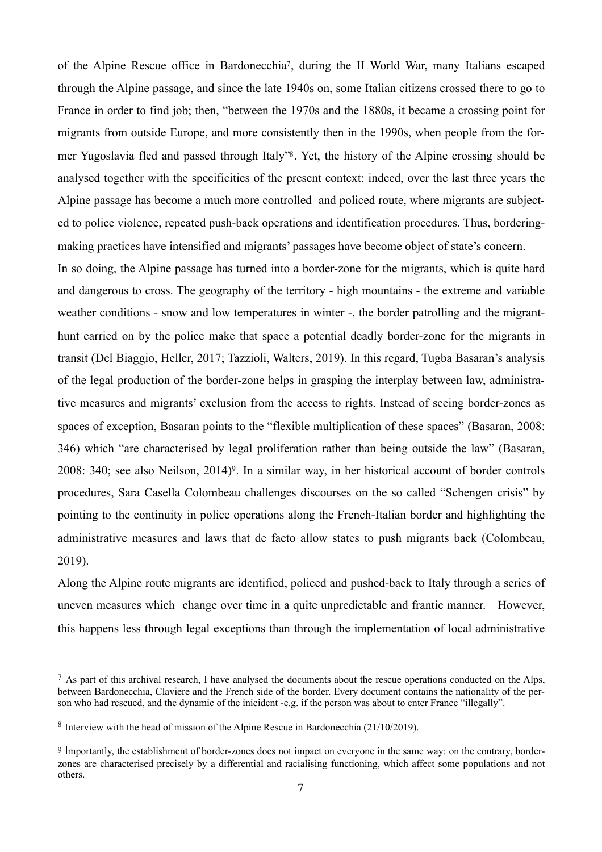<span id="page-7-4"></span><span id="page-7-3"></span>of the Alpine Rescue office in Bardonecchia<sup>[7](#page-7-0)</sup>, during the II World War, many Italians escaped through the Alpine passage, and since the late 1940s on, some Italian citizens crossed there to go to France in order to find job; then, "between the 1970s and the 1880s, it became a crossing point for migrants from outside Europe, and more consistently then in the 1990s, when people from the for-mer Yugoslavia fled and passed through Italy<sup>7[8](#page-7-1)</sup>. Yet, the history of the Alpine crossing should be analysed together with the specificities of the present context: indeed, over the last three years the Alpine passage has become a much more controlled and policed route, where migrants are subjected to police violence, repeated push-back operations and identification procedures. Thus, borderingmaking practices have intensified and migrants' passages have become object of state's concern.

In so doing, the Alpine passage has turned into a border-zone for the migrants, which is quite hard and dangerous to cross. The geography of the territory - high mountains - the extreme and variable weather conditions - snow and low temperatures in winter -, the border patrolling and the migranthunt carried on by the police make that space a potential deadly border-zone for the migrants in transit (Del Biaggio, Heller, 2017; Tazzioli, Walters, 2019). In this regard, Tugba Basaran's analysis of the legal production of the border-zone helps in grasping the interplay between law, administrative measures and migrants' exclusion from the access to rights. Instead of seeing border-zones as spaces of exception, Basaran points to the "flexible multiplication of these spaces" (Basaran, 2008: 346) which "are characterised by legal proliferation rather than being outside the law" (Basaran, 2008: 340; see also Neilson,  $2014$ <sup>[9](#page-7-2)</sup>. In a similar way, in her historical account of border controls procedures, Sara Casella Colombeau challenges discourses on the so called "Schengen crisis" by pointing to the continuity in police operations along the French-Italian border and highlighting the administrative measures and laws that de facto allow states to push migrants back (Colombeau, 2019).

<span id="page-7-5"></span>Along the Alpine route migrants are identified, policed and pushed-back to Italy through a series of uneven measures which change over time in a quite unpredictable and frantic manner. However, this happens less through legal exceptions than through the implementation of local administrative

<span id="page-7-0"></span> $\frac{7}{1}$  $\frac{7}{1}$  $\frac{7}{1}$  As part of this archival research, I have analysed the documents about the rescue operations conducted on the Alps, between Bardonecchia, Claviere and the French side of the border. Every document contains the nationality of the person who had rescued, and the dynamic of the inicident -e.g. if the person was about to enter France "illegally".

<span id="page-7-1"></span><sup>&</sup>lt;sup>[8](#page-7-4)</sup> Interview with the head of mission of the Alpine Rescue in Bardonecchia (21/10/2019).

<span id="page-7-2"></span>[<sup>9</sup>](#page-7-5) Importantly, the establishment of border-zones does not impact on everyone in the same way: on the contrary, borderzones are characterised precisely by a differential and racialising functioning, which affect some populations and not others.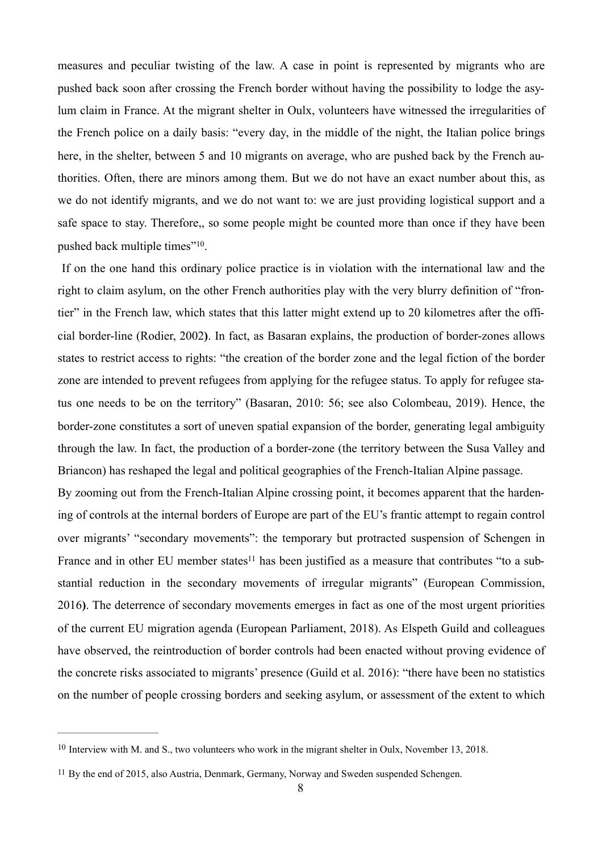measures and peculiar twisting of the law. A case in point is represented by migrants who are pushed back soon after crossing the French border without having the possibility to lodge the asylum claim in France. At the migrant shelter in Oulx, volunteers have witnessed the irregularities of the French police on a daily basis: "every day, in the middle of the night, the Italian police brings here, in the shelter, between 5 and 10 migrants on average, who are pushed back by the French authorities. Often, there are minors among them. But we do not have an exact number about this, as we do not identify migrants, and we do not want to: we are just providing logistical support and a safe space to stay. Therefore,, so some people might be counted more than once if they have been pushed back multiple times"<sup>10</sup>[.](#page-8-0)

<span id="page-8-2"></span> If on the one hand this ordinary police practice is in violation with the international law and the right to claim asylum, on the other French authorities play with the very blurry definition of "frontier" in the French law, which states that this latter might extend up to 20 kilometres after the official border-line (Rodier, 2002**)**. In fact, as Basaran explains, the production of border-zones allows states to restrict access to rights: "the creation of the border zone and the legal fiction of the border zone are intended to prevent refugees from applying for the refugee status. To apply for refugee status one needs to be on the territory" (Basaran, 2010: 56; see also Colombeau, 2019). Hence, the border-zone constitutes a sort of uneven spatial expansion of the border, generating legal ambiguity through the law. In fact, the production of a border-zone (the territory between the Susa Valley and Briancon) has reshaped the legal and political geographies of the French-Italian Alpine passage.

<span id="page-8-3"></span>By zooming out from the French-Italian Alpine crossing point, it becomes apparent that the hardening of controls at the internal borders of Europe are part of the EU's frantic attempt to regain control over migrants' "secondary movements": the temporary but protracted suspension of Schengen in France and in other EU member states<sup>11</sup> has been justified as a measure that contributes "to a substantial reduction in the secondary movements of irregular migrants" (European Commission, 2016**)**. The deterrence of secondary movements emerges in fact as one of the most urgent priorities of the current EU migration agenda (European Parliament, 2018). As Elspeth Guild and colleagues have observed, the reintroduction of border controls had been enacted without proving evidence of the concrete risks associated to migrants' presence (Guild et al. 2016): "there have been no statistics on the number of people crossing borders and seeking asylum, or assessment of the extent to which

<span id="page-8-0"></span> $10$  Interview with M. and S., two volunteers who work in the migrant shelter in Oulx, November 13, 2018.

<span id="page-8-1"></span>[<sup>11</sup>](#page-8-3) By the end of 2015, also Austria, Denmark, Germany, Norway and Sweden suspended Schengen.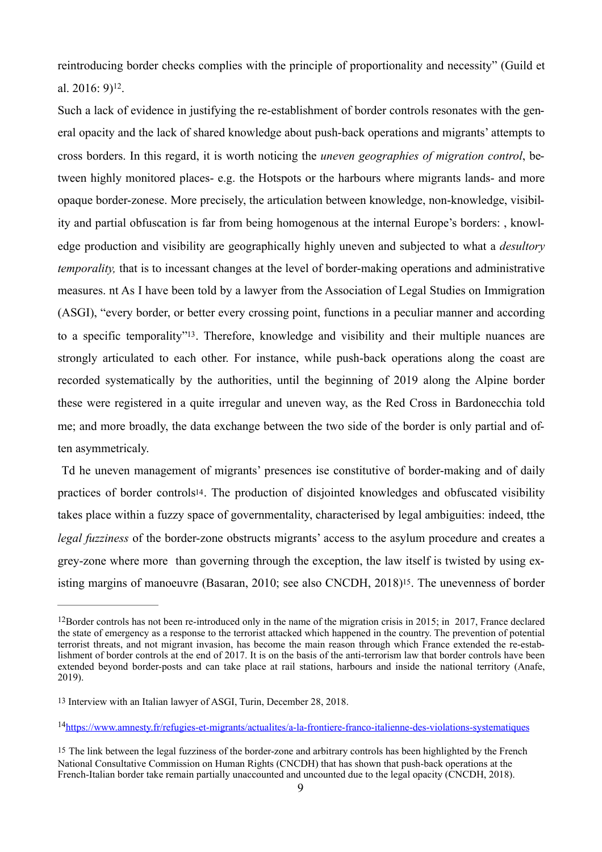<span id="page-9-4"></span>reintroducing border checks complies with the principle of proportionality and necessity" (Guild et al[.](#page-9-0) 2016:  $9$ <sup>[12](#page-9-0)</sup>.

Such a lack of evidence in justifying the re-establishment of border controls resonates with the general opacity and the lack of shared knowledge about push-back operations and migrants' attempts to cross borders. In this regard, it is worth noticing the *uneven geographies of migration control*, between highly monitored places- e.g. the Hotspots or the harbours where migrants lands- and more opaque border-zonese. More precisely, the articulation between knowledge, non-knowledge, visibility and partial obfuscation is far from being homogenous at the internal Europe's borders: , knowledge production and visibility are geographically highly uneven and subjected to what a *desultory temporality,* that is to incessant changes at the level of border-making operations and administrative measures. nt As I have been told by a lawyer from the Association of Legal Studies on Immigration (ASGI), "every border, or better every crossing point, functions in a peculiar manner and according to a specific temporality"<sup>[13](#page-9-1)</sup>. Therefore, knowledge and visibility and their multiple nuances are strongly articulated to each other. For instance, while push-back operations along the coast are recorded systematically by the authorities, until the beginning of 2019 along the Alpine border these were registered in a quite irregular and uneven way, as the Red Cross in Bardonecchia told me; and more broadly, the data exchange between the two side of the border is only partial and often asymmetricaly.

<span id="page-9-6"></span><span id="page-9-5"></span> Td he uneven management of migrants' presences ise constitutive of border-making and of daily practices of border controls<sup>14</sup>. The production of disjointed knowledges and obfuscated visibility takes place within a fuzzy space of governmentality, characterised by legal ambiguities: indeed, tthe *legal fuzziness* of the border-zone obstructs migrants' access to the asylum procedure and creates a grey-zone where more than governing through the exception, the law itself is twisted by using existing margins of manoeuvre (Basaran, 2010; see also CNCDH, 2018[\)15](#page-9-3). The unevenness of border

<span id="page-9-7"></span><span id="page-9-0"></span><sup>&</sup>lt;sup>[12](#page-9-4)</sup>Border controls has not been re-introduced only in the name of the migration crisis in 2015; in 2017, France declared the state of emergency as a response to the terrorist attacked which happened in the country. The prevention of potential terrorist threats, and not migrant invasion, has become the main reason through which France extended the re-establishment of border controls at the end of 2017. It is on the basis of the anti-terrorism law that border controls have been extended beyond border-posts and can take place at rail stations, harbours and inside the national territory (Anafe, 2019).

<span id="page-9-1"></span>[<sup>13</sup>](#page-9-5) Interview with an Italian lawyer of ASGI, Turin, December 28, 2018.

<span id="page-9-2"></span><sup>&</sup>lt;sup>14</sup><https://www.amnesty.fr/refugies-et-migrants/actualites/a-la-frontiere-franco-italienne-des-violations-systematiques>

<span id="page-9-3"></span>[<sup>15</sup>](#page-9-7) The link between the legal fuzziness of the border-zone and arbitrary controls has been highlighted by the French National Consultative Commission on Human Rights (CNCDH) that has shown that push-back operations at the French-Italian border take remain partially unaccounted and uncounted due to the legal opacity (CNCDH, 2018).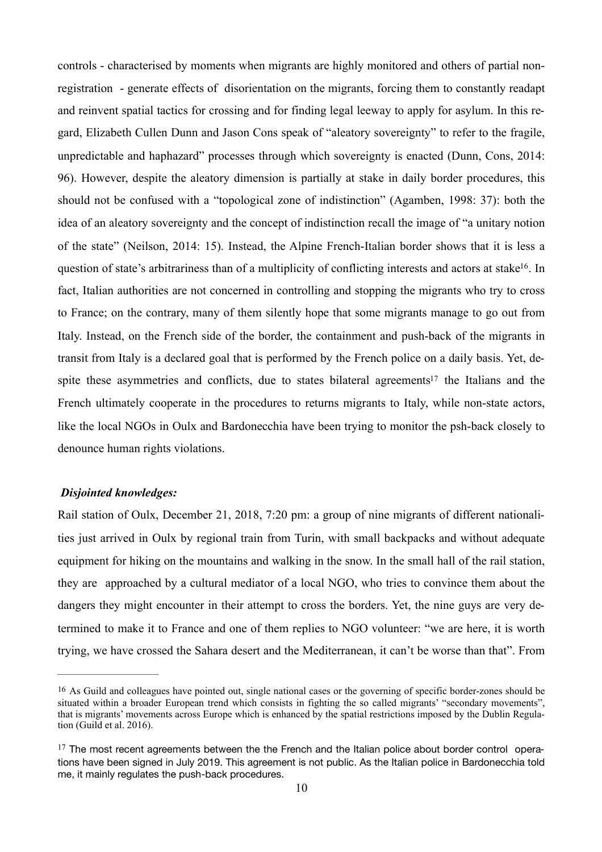<span id="page-10-2"></span>controls - characterised by moments when migrants are highly monitored and others of partial nonregistration - generate effects of disorientation on the migrants, forcing them to constantly readapt and reinvent spatial tactics for crossing and for finding legal leeway to apply for asylum. In this regard, Elizabeth Cullen Dunn and Jason Cons speak of "aleatory sovereignty" to refer to the fragile, unpredictable and haphazard" processes through which sovereignty is enacted (Dunn, Cons, 2014: 96). However, despite the aleatory dimension is partially at stake in daily border procedures, this should not be confused with a "topological zone of indistinction" (Agamben, 1998: 37): both the idea of an aleatory sovereignty and the concept of indistinction recall the image of "a unitary notion of the state" (Neilson, 2014: 15). Instead, the Alpine French-Italian border shows that it is less a question of state's arbitrariness than of a multiplicity of conflicting interests and actors at stake<sup>[16](#page-10-0)</sup>. In fact, Italian authorities are not concerned in controlling and stopping the migrants who try to cross to France; on the contrary, many of them silently hope that some migrants manage to go out from Italy. Instead, on the French side of the border, the containment and push-back of the migrants in transit from Italy is a declared goal that is performed by the French police on a daily basis. Yet, de[s](#page-10-1)pite these asymmetries and conflicts, due to states bilateral agreements<sup>[17](#page-10-1)</sup> the Italians and the French ultimately cooperate in the procedures to returns migrants to Italy, while non-state actors, like the local NGOs in Oulx and Bardonecchia have been trying to monitor the psh-back closely to denounce human rights violations.

#### <span id="page-10-3"></span>*Disjointed knowledges:*

Rail station of Oulx, December 21, 2018, 7:20 pm: a group of nine migrants of different nationalities just arrived in Oulx by regional train from Turin, with small backpacks and without adequate equipment for hiking on the mountains and walking in the snow. In the small hall of the rail station, they are approached by a cultural mediator of a local NGO, who tries to convince them about the dangers they might encounter in their attempt to cross the borders. Yet, the nine guys are very determined to make it to France and one of them replies to NGO volunteer: "we are here, it is worth trying, we have crossed the Sahara desert and the Mediterranean, it can't be worse than that". From

<span id="page-10-0"></span>[<sup>16</sup>](#page-10-2) As Guild and colleagues have pointed out, single national cases or the governing of specific border-zones should be situated within a broader European trend which consists in fighting the so called migrants' "secondary movements", that is migrants' movements across Europe which is enhanced by the spatial restrictions imposed by the Dublin Regulation (Guild et al. 2016).

<span id="page-10-1"></span> $17$  The most recent agreements between the the French and the Italian police about border control operations have been signed in July 2019. This agreement is not public. As the Italian police in Bardonecchia told me, it mainly regulates the push-back procedures.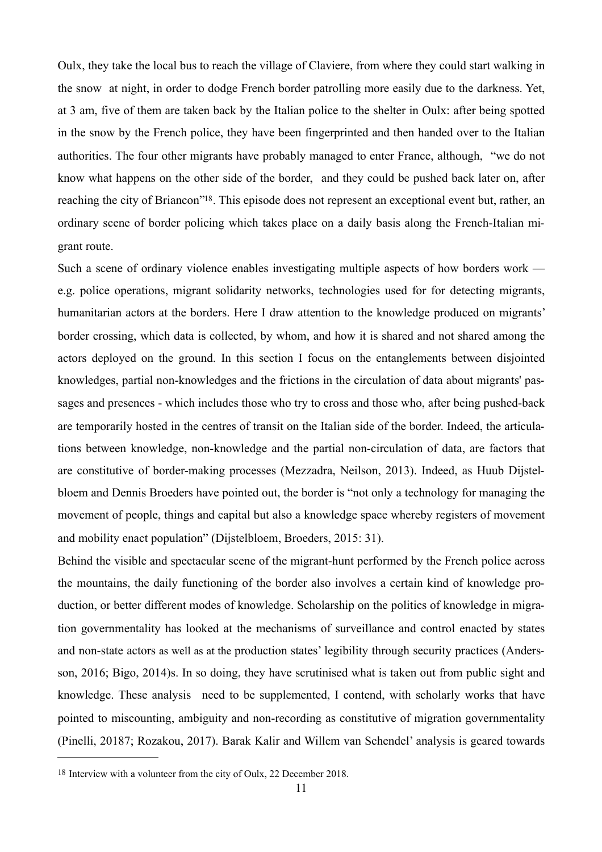Oulx, they take the local bus to reach the village of Claviere, from where they could start walking in the snow at night, in order to dodge French border patrolling more easily due to the darkness. Yet, at 3 am, five of them are taken back by the Italian police to the shelter in Oulx: after being spotted in the snow by the French police, they have been fingerprinted and then handed over to the Italian authorities. The four other migrants have probably managed to enter France, although, "we do not know what happens on the other side of the border, and they could be pushed back later on, after reaching the city of Briancon<sup>"[18](#page-11-0)</sup>. This episode does not represent an exceptional event but, rather, an ordinary scene of border policing which takes place on a daily basis along the French-Italian migrant route.

<span id="page-11-1"></span>Such a scene of ordinary violence enables investigating multiple aspects of how borders work e.g. police operations, migrant solidarity networks, technologies used for for detecting migrants, humanitarian actors at the borders. Here I draw attention to the knowledge produced on migrants' border crossing, which data is collected, by whom, and how it is shared and not shared among the actors deployed on the ground. In this section I focus on the entanglements between disjointed knowledges, partial non-knowledges and the frictions in the circulation of data about migrants' passages and presences - which includes those who try to cross and those who, after being pushed-back are temporarily hosted in the centres of transit on the Italian side of the border. Indeed, the articulations between knowledge, non-knowledge and the partial non-circulation of data, are factors that are constitutive of border-making processes (Mezzadra, Neilson, 2013). Indeed, as Huub Dijstelbloem and Dennis Broeders have pointed out, the border is "not only a technology for managing the movement of people, things and capital but also a knowledge space whereby registers of movement and mobility enact population" (Dijstelbloem, Broeders, 2015: 31).

Behind the visible and spectacular scene of the migrant-hunt performed by the French police across the mountains, the daily functioning of the border also involves a certain kind of knowledge production, or better different modes of knowledge. Scholarship on the politics of knowledge in migration governmentality has looked at the mechanisms of surveillance and control enacted by states and non-state actors as well as at the production states' legibility through security practices (Andersson, 2016; Bigo, 2014)s. In so doing, they have scrutinised what is taken out from public sight and knowledge. These analysis need to be supplemented, I contend, with scholarly works that have pointed to miscounting, ambiguity and non-recording as constitutive of migration governmentality (Pinelli, 20187; Rozakou, 2017). Barak Kalir and Willem van Schendel' analysis is geared towards

<span id="page-11-0"></span>[<sup>18</sup>](#page-11-1) Interview with a volunteer from the city of Oulx, 22 December 2018.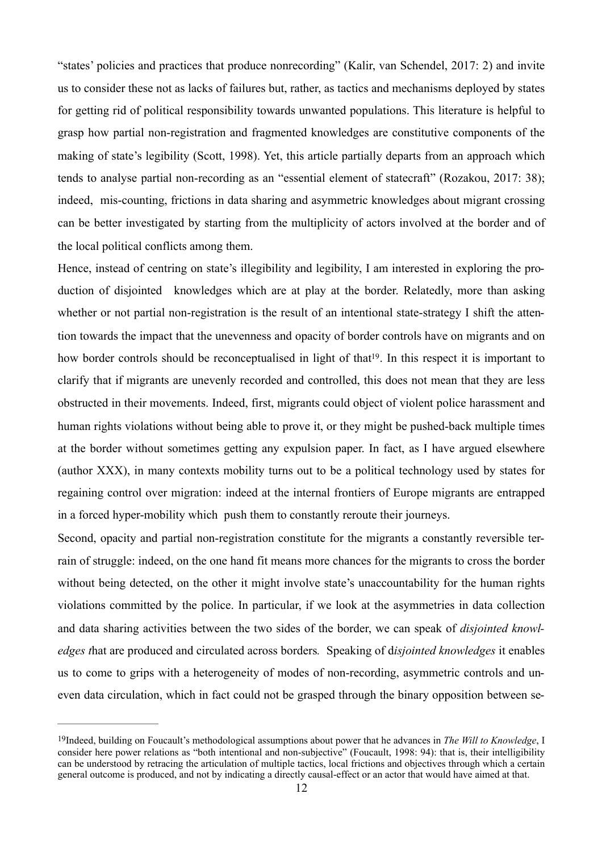"states' policies and practices that produce nonrecording" (Kalir, van Schendel, 2017: 2) and invite us to consider these not as lacks of failures but, rather, as tactics and mechanisms deployed by states for getting rid of political responsibility towards unwanted populations. This literature is helpful to grasp how partial non-registration and fragmented knowledges are constitutive components of the making of state's legibility (Scott, 1998). Yet, this article partially departs from an approach which tends to analyse partial non-recording as an "essential element of statecraft" (Rozakou, 2017: 38); indeed, mis-counting, frictions in data sharing and asymmetric knowledges about migrant crossing can be better investigated by starting from the multiplicity of actors involved at the border and of the local political conflicts among them.

<span id="page-12-1"></span>Hence, instead of centring on state's illegibility and legibility, I am interested in exploring the production of disjointed knowledges which are at play at the border. Relatedly, more than asking whether or not partial non-registration is the result of an intentional state-strategy I shift the attention towards the impact that the unevenness and opacity of border controls have on migrants and on how border controls should be reconceptualised in light of that<sup>[19](#page-12-0)</sup>. In this respect it is important to clarify that if migrants are unevenly recorded and controlled, this does not mean that they are less obstructed in their movements. Indeed, first, migrants could object of violent police harassment and human rights violations without being able to prove it, or they might be pushed-back multiple times at the border without sometimes getting any expulsion paper. In fact, as I have argued elsewhere (author XXX), in many contexts mobility turns out to be a political technology used by states for regaining control over migration: indeed at the internal frontiers of Europe migrants are entrapped in a forced hyper-mobility which push them to constantly reroute their journeys.

Second, opacity and partial non-registration constitute for the migrants a constantly reversible terrain of struggle: indeed, on the one hand fit means more chances for the migrants to cross the border without being detected, on the other it might involve state's unaccountability for the human rights violations committed by the police. In particular, if we look at the asymmetries in data collection and data sharing activities between the two sides of the border, we can speak of *disjointed knowledges t*hat are produced and circulated across borders*.* Speaking of d*isjointed knowledges* it enables us to come to grips with a heterogeneity of modes of non-recording, asymmetric controls and uneven data circulation, which in fact could not be grasped through the binary opposition between se-

<span id="page-12-0"></span>[<sup>19</sup>](#page-12-1)Indeed, building on Foucault's methodological assumptions about power that he advances in *The Will to Knowledge*, I consider here power relations as "both intentional and non-subjective" (Foucault, 1998: 94): that is, their intelligibility can be understood by retracing the articulation of multiple tactics, local frictions and objectives through which a certain general outcome is produced, and not by indicating a directly causal-effect or an actor that would have aimed at that.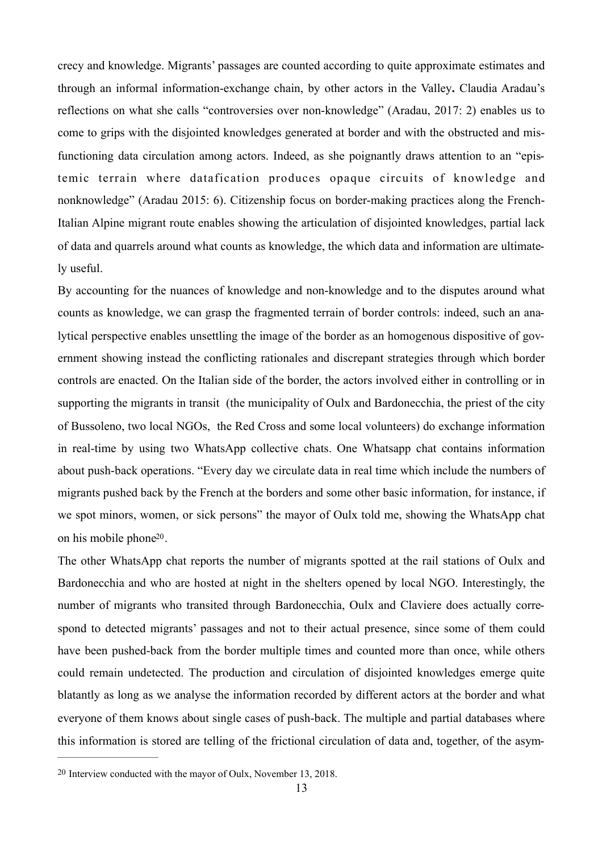crecy and knowledge. Migrants' passages are counted according to quite approximate estimates and through an informal information-exchange chain, by other actors in the Valley**.** Claudia Aradau's reflections on what she calls "controversies over non-knowledge" (Aradau, 2017: 2) enables us to come to grips with the disjointed knowledges generated at border and with the obstructed and misfunctioning data circulation among actors. Indeed, as she poignantly draws attention to an "epistemic terrain where datafication produces opaque circuits of knowledge and nonknowledge" (Aradau 2015: 6). Citizenship focus on border-making practices along the French-Italian Alpine migrant route enables showing the articulation of disjointed knowledges, partial lack of data and quarrels around what counts as knowledge, the which data and information are ultimately useful.

By accounting for the nuances of knowledge and non-knowledge and to the disputes around what counts as knowledge, we can grasp the fragmented terrain of border controls: indeed, such an analytical perspective enables unsettling the image of the border as an homogenous dispositive of government showing instead the conflicting rationales and discrepant strategies through which border controls are enacted. On the Italian side of the border, the actors involved either in controlling or in supporting the migrants in transit (the municipality of Oulx and Bardonecchia, the priest of the city of Bussoleno, two local NGOs, the Red Cross and some local volunteers) do exchange information in real-time by using two WhatsApp collective chats. One Whatsapp chat contains information about push-back operations. "Every day we circulate data in real time which include the numbers of migrants pushed back by the French at the borders and some other basic information, for instance, if we spot minors, women, or sick persons" the mayor of Oulx told me, showing the WhatsApp chat on his mobile phone<sup>[20](#page-13-0)</sup>.

<span id="page-13-1"></span>The other WhatsApp chat reports the number of migrants spotted at the rail stations of Oulx and Bardonecchia and who are hosted at night in the shelters opened by local NGO. Interestingly, the number of migrants who transited through Bardonecchia, Oulx and Claviere does actually correspond to detected migrants' passages and not to their actual presence, since some of them could have been pushed-back from the border multiple times and counted more than once, while others could remain undetected. The production and circulation of disjointed knowledges emerge quite blatantly as long as we analyse the information recorded by different actors at the border and what everyone of them knows about single cases of push-back. The multiple and partial databases where this information is stored are telling of the frictional circulation of data and, together, of the asym-

<span id="page-13-0"></span>[<sup>20</sup>](#page-13-1) Interview conducted with the mayor of Oulx, November 13, 2018.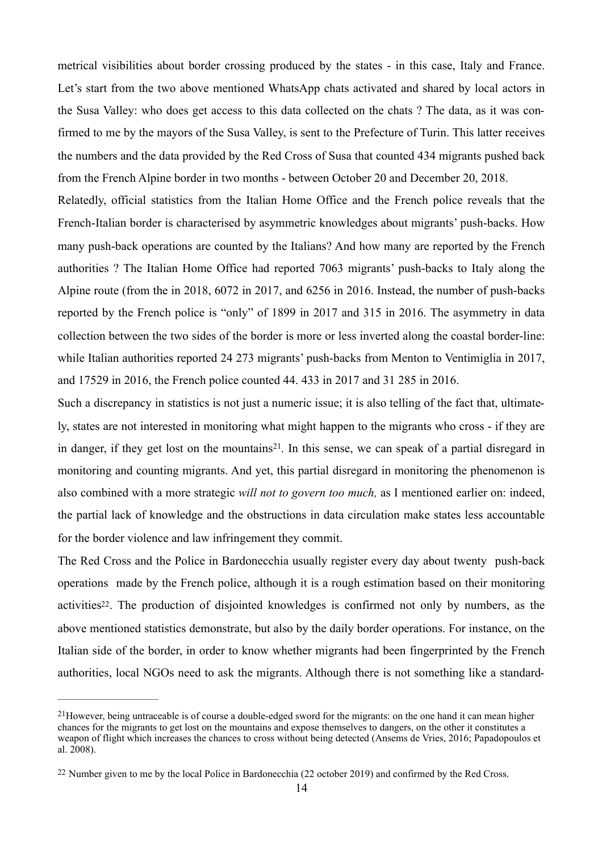metrical visibilities about border crossing produced by the states - in this case, Italy and France. Let's start from the two above mentioned WhatsApp chats activated and shared by local actors in the Susa Valley: who does get access to this data collected on the chats ? The data, as it was confirmed to me by the mayors of the Susa Valley, is sent to the Prefecture of Turin. This latter receives the numbers and the data provided by the Red Cross of Susa that counted 434 migrants pushed back from the French Alpine border in two months - between October 20 and December 20, 2018.

Relatedly, official statistics from the Italian Home Office and the French police reveals that the French-Italian border is characterised by asymmetric knowledges about migrants' push-backs. How many push-back operations are counted by the Italians? And how many are reported by the French authorities ? The Italian Home Office had reported 7063 migrants' push-backs to Italy along the Alpine route (from the in 2018, 6072 in 2017, and 6256 in 2016. Instead, the number of push-backs reported by the French police is "only" of 1899 in 2017 and 315 in 2016. The asymmetry in data collection between the two sides of the border is more or less inverted along the coastal border-line: while Italian authorities reported 24 273 migrants' push-backs from Menton to Ventimiglia in 2017, and 17529 in 2016, the French police counted 44. 433 in 2017 and 31 285 in 2016.

<span id="page-14-2"></span>Such a discrepancy in statistics is not just a numeric issue; it is also telling of the fact that, ultimately, states are not interested in monitoring what might happen to the migrants who cross - if they are in danger, if they get lost on the mountains<sup>21</sup>[.](#page-14-0) In this sense, we can speak of a partial disregard in monitoring and counting migrants. And yet, this partial disregard in monitoring the phenomenon is also combined with a more strategic *will not to govern too much,* as I mentioned earlier on: indeed, the partial lack of knowledge and the obstructions in data circulation make states less accountable for the border violence and law infringement they commit.

<span id="page-14-3"></span>The Red Cross and the Police in Bardonecchia usually register every day about twenty push-back operations made by the French police, although it is a rough estimation based on their monitoring activitie[s22](#page-14-1). The production of disjointed knowledges is confirmed not only by numbers, as the above mentioned statistics demonstrate, but also by the daily border operations. For instance, on the Italian side of the border, in order to know whether migrants had been fingerprinted by the French authorities, local NGOs need to ask the migrants. Although there is not something like a standard-

<span id="page-14-0"></span> $^{21}$  $^{21}$  $^{21}$ However, being untraceable is of course a double-edged sword for the migrants: on the one hand it can mean higher chances for the migrants to get lost on the mountains and expose themselves to dangers, on the other it constitutes a weapon of flight which increases the chances to cross without being detected (Ansems de Vries, 2016; Papadopoulos et al. 2008).

<span id="page-14-1"></span>[<sup>22</sup>](#page-14-3) Number given to me by the local Police in Bardonecchia (22 october 2019) and confirmed by the Red Cross.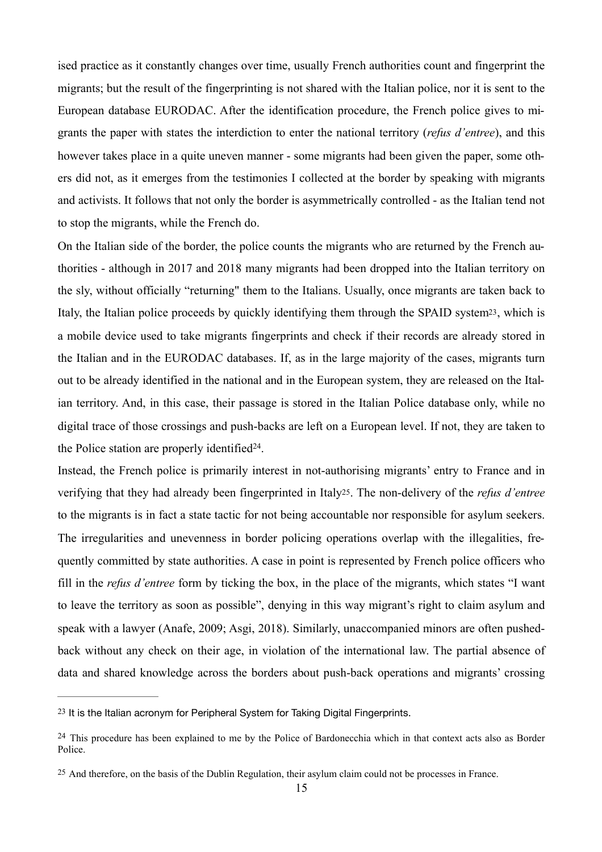ised practice as it constantly changes over time, usually French authorities count and fingerprint the migrants; but the result of the fingerprinting is not shared with the Italian police, nor it is sent to the European database EURODAC. After the identification procedure, the French police gives to migrants the paper with states the interdiction to enter the national territory (*refus d'entree*), and this however takes place in a quite uneven manner - some migrants had been given the paper, some others did not, as it emerges from the testimonies I collected at the border by speaking with migrants and activists. It follows that not only the border is asymmetrically controlled - as the Italian tend not to stop the migrants, while the French do.

<span id="page-15-3"></span>On the Italian side of the border, the police counts the migrants who are returned by the French authorities - although in 2017 and 2018 many migrants had been dropped into the Italian territory on the sly, without officially "returning" them to the Italians. Usually, once migrants are taken back to Italy, the Italian police proceeds by quickly identifying them through the SPAID system<sup>23</sup>, which is a mobile device used to take migrants fingerprints and check if their records are already stored in the Italian and in the EURODAC databases. If, as in the large majority of the cases, migrants turn out to be already identified in the national and in the European system, they are released on the Italian territory. And, in this case, their passage is stored in the Italian Police database only, while no digital trace of those crossings and push-backs are left on a European level. If not, they are taken to the Police station are properly identified  $24$ [.](#page-15-1)

<span id="page-15-5"></span><span id="page-15-4"></span>Instead, the French police is primarily interest in not-authorising migrants' entry to France and in verifying that they had already been fingerprinted in Ital[y25](#page-15-2). The non-delivery of the *refus d'entree* to the migrants is in fact a state tactic for not being accountable nor responsible for asylum seekers. The irregularities and unevenness in border policing operations overlap with the illegalities, frequently committed by state authorities. A case in point is represented by French police officers who fill in the *refus d'entree* form by ticking the box, in the place of the migrants, which states "I want to leave the territory as soon as possible", denying in this way migrant's right to claim asylum and speak with a lawyer (Anafe, 2009; Asgi, 2018). Similarly, unaccompanied minors are often pushedback without any check on their age, in violation of the international law. The partial absence of data and shared knowledge across the borders about push-back operations and migrants' crossing

<span id="page-15-0"></span>[<sup>23</sup>](#page-15-3) It is the Italian acronym for Peripheral System for Taking Digital Fingerprints.

<span id="page-15-1"></span><sup>&</sup>lt;sup>[24](#page-15-4)</sup> This procedure has been explained to me by the Police of Bardonecchia which in that context acts also as Border Police.

<span id="page-15-2"></span>[<sup>25</sup>](#page-15-5) And therefore, on the basis of the Dublin Regulation, their asylum claim could not be processes in France.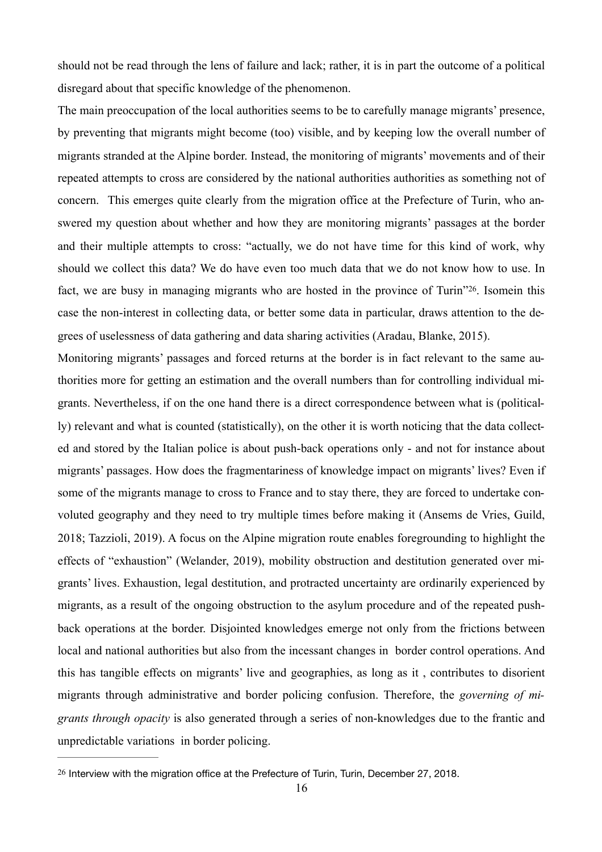should not be read through the lens of failure and lack; rather, it is in part the outcome of a political disregard about that specific knowledge of the phenomenon.

The main preoccupation of the local authorities seems to be to carefully manage migrants' presence, by preventing that migrants might become (too) visible, and by keeping low the overall number of migrants stranded at the Alpine border. Instead, the monitoring of migrants' movements and of their repeated attempts to cross are considered by the national authorities authorities as something not of concern. This emerges quite clearly from the migration office at the Prefecture of Turin, who answered my question about whether and how they are monitoring migrants' passages at the border and their multiple attempts to cross: "actually, we do not have time for this kind of work, why should we collect this data? We do have even too much data that we do not know how to use. In fact, we are busy in managing migrants who are hosted in the province of Turin<sup>726</sup>[.](#page-16-0) Isomein this case the non-interest in collecting data, or better some data in particular, draws attention to the degrees of uselessness of data gathering and data sharing activities (Aradau, Blanke, 2015).

<span id="page-16-1"></span>Monitoring migrants' passages and forced returns at the border is in fact relevant to the same authorities more for getting an estimation and the overall numbers than for controlling individual migrants. Nevertheless, if on the one hand there is a direct correspondence between what is (politically) relevant and what is counted (statistically), on the other it is worth noticing that the data collected and stored by the Italian police is about push-back operations only - and not for instance about migrants' passages. How does the fragmentariness of knowledge impact on migrants' lives? Even if some of the migrants manage to cross to France and to stay there, they are forced to undertake convoluted geography and they need to try multiple times before making it (Ansems de Vries, Guild, 2018; Tazzioli, 2019). A focus on the Alpine migration route enables foregrounding to highlight the effects of "exhaustion" (Welander, 2019), mobility obstruction and destitution generated over migrants' lives. Exhaustion, legal destitution, and protracted uncertainty are ordinarily experienced by migrants, as a result of the ongoing obstruction to the asylum procedure and of the repeated pushback operations at the border. Disjointed knowledges emerge not only from the frictions between local and national authorities but also from the incessant changes in border control operations. And this has tangible effects on migrants' live and geographies, as long as it , contributes to disorient migrants through administrative and border policing confusion. Therefore, the *governing of migrants through opacity* is also generated through a series of non-knowledges due to the frantic and unpredictable variations in border policing.

<span id="page-16-0"></span><sup>&</sup>lt;sup>[26](#page-16-1)</sup> Interview with the migration office at the Prefecture of Turin, Turin, December 27, 2018.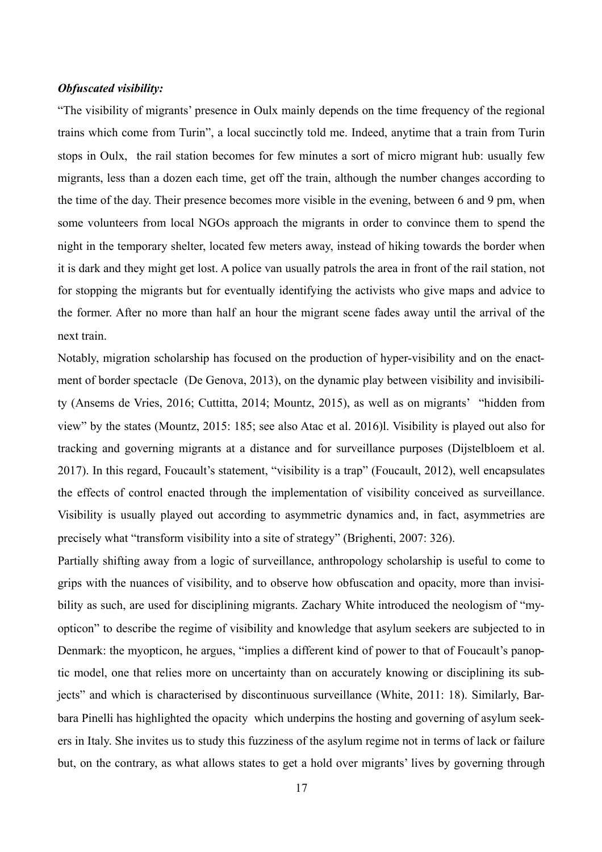#### *Obfuscated visibility:*

"The visibility of migrants' presence in Oulx mainly depends on the time frequency of the regional trains which come from Turin", a local succinctly told me. Indeed, anytime that a train from Turin stops in Oulx, the rail station becomes for few minutes a sort of micro migrant hub: usually few migrants, less than a dozen each time, get off the train, although the number changes according to the time of the day. Their presence becomes more visible in the evening, between 6 and 9 pm, when some volunteers from local NGOs approach the migrants in order to convince them to spend the night in the temporary shelter, located few meters away, instead of hiking towards the border when it is dark and they might get lost. A police van usually patrols the area in front of the rail station, not for stopping the migrants but for eventually identifying the activists who give maps and advice to the former. After no more than half an hour the migrant scene fades away until the arrival of the next train.

Notably, migration scholarship has focused on the production of hyper-visibility and on the enactment of border spectacle (De Genova, 2013), on the dynamic play between visibility and invisibility (Ansems de Vries, 2016; Cuttitta, 2014; Mountz, 2015), as well as on migrants' "hidden from view" by the states (Mountz, 2015: 185; see also Atac et al. 2016)l. Visibility is played out also for tracking and governing migrants at a distance and for surveillance purposes (Dijstelbloem et al. 2017). In this regard, Foucault's statement, "visibility is a trap" (Foucault, 2012), well encapsulates the effects of control enacted through the implementation of visibility conceived as surveillance. Visibility is usually played out according to asymmetric dynamics and, in fact, asymmetries are precisely what "transform visibility into a site of strategy" (Brighenti, 2007: 326).

Partially shifting away from a logic of surveillance, anthropology scholarship is useful to come to grips with the nuances of visibility, and to observe how obfuscation and opacity, more than invisibility as such, are used for disciplining migrants. Zachary White introduced the neologism of "myopticon" to describe the regime of visibility and knowledge that asylum seekers are subjected to in Denmark: the myopticon, he argues, "implies a different kind of power to that of Foucault's panoptic model, one that relies more on uncertainty than on accurately knowing or disciplining its subjects" and which is characterised by discontinuous surveillance (White, 2011: 18). Similarly, Barbara Pinelli has highlighted the opacity which underpins the hosting and governing of asylum seekers in Italy. She invites us to study this fuzziness of the asylum regime not in terms of lack or failure but, on the contrary, as what allows states to get a hold over migrants' lives by governing through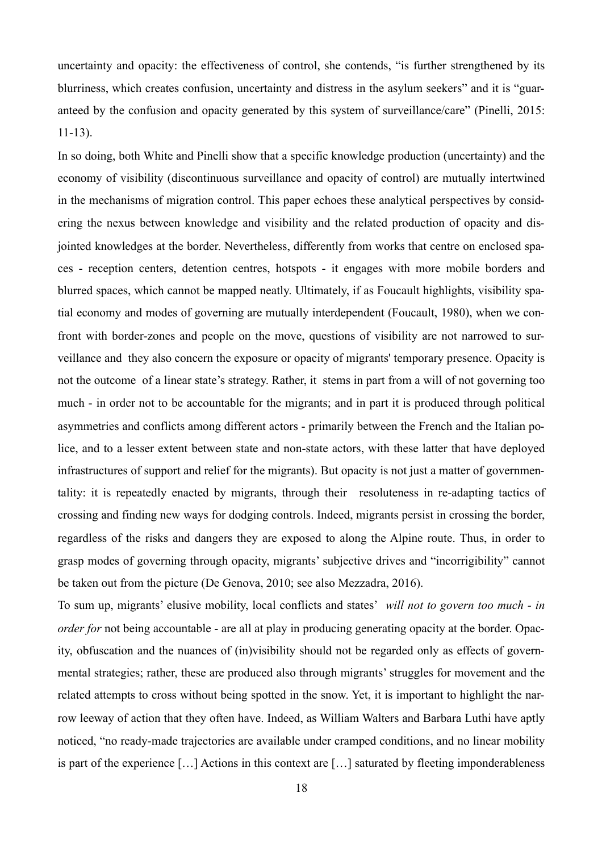uncertainty and opacity: the effectiveness of control, she contends, "is further strengthened by its blurriness, which creates confusion, uncertainty and distress in the asylum seekers" and it is "guaranteed by the confusion and opacity generated by this system of surveillance/care" (Pinelli, 2015: 11-13).

In so doing, both White and Pinelli show that a specific knowledge production (uncertainty) and the economy of visibility (discontinuous surveillance and opacity of control) are mutually intertwined in the mechanisms of migration control. This paper echoes these analytical perspectives by considering the nexus between knowledge and visibility and the related production of opacity and disjointed knowledges at the border. Nevertheless, differently from works that centre on enclosed spaces - reception centers, detention centres, hotspots - it engages with more mobile borders and blurred spaces, which cannot be mapped neatly. Ultimately, if as Foucault highlights, visibility spatial economy and modes of governing are mutually interdependent (Foucault, 1980), when we confront with border-zones and people on the move, questions of visibility are not narrowed to surveillance and they also concern the exposure or opacity of migrants' temporary presence. Opacity is not the outcome of a linear state's strategy. Rather, it stems in part from a will of not governing too much - in order not to be accountable for the migrants; and in part it is produced through political asymmetries and conflicts among different actors - primarily between the French and the Italian police, and to a lesser extent between state and non-state actors, with these latter that have deployed infrastructures of support and relief for the migrants). But opacity is not just a matter of governmentality: it is repeatedly enacted by migrants, through their resoluteness in re-adapting tactics of crossing and finding new ways for dodging controls. Indeed, migrants persist in crossing the border, regardless of the risks and dangers they are exposed to along the Alpine route. Thus, in order to grasp modes of governing through opacity, migrants' subjective drives and "incorrigibility" cannot be taken out from the picture (De Genova, 2010; see also Mezzadra, 2016).

To sum up, migrants' elusive mobility, local conflicts and states' *will not to govern too much - in order for* not being accountable - are all at play in producing generating opacity at the border. Opacity, obfuscation and the nuances of (in)visibility should not be regarded only as effects of governmental strategies; rather, these are produced also through migrants' struggles for movement and the related attempts to cross without being spotted in the snow. Yet, it is important to highlight the narrow leeway of action that they often have. Indeed, as William Walters and Barbara Luthi have aptly noticed, "no ready-made trajectories are available under cramped conditions, and no linear mobility is part of the experience […] Actions in this context are […] saturated by fleeting imponderableness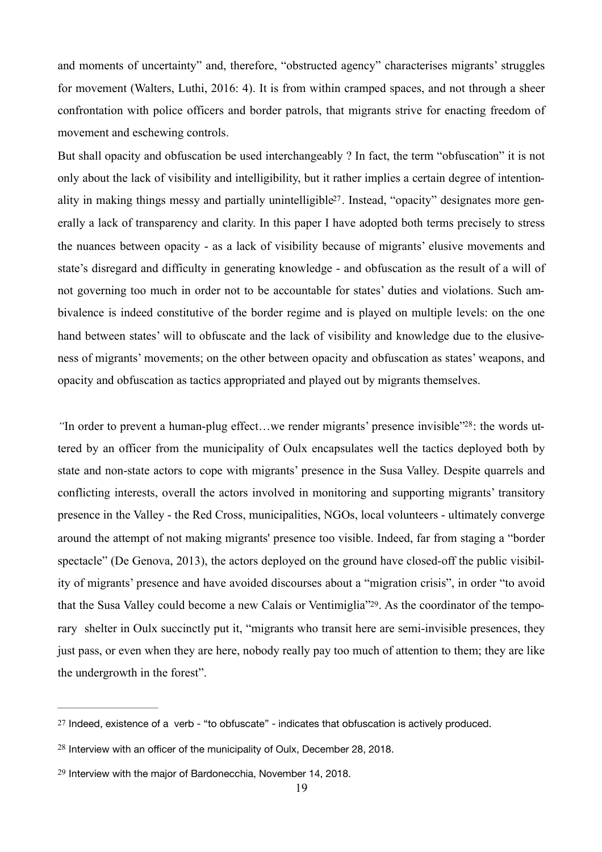and moments of uncertainty" and, therefore, "obstructed agency" characterises migrants' struggles for movement (Walters, Luthi, 2016: 4). It is from within cramped spaces, and not through a sheer confrontation with police officers and border patrols, that migrants strive for enacting freedom of movement and eschewing controls.

<span id="page-19-3"></span>But shall opacity and obfuscation be used interchangeably ? In fact, the term "obfuscation" it is not only about the lack of visibility and intelligibility, but it rather implies a certain degree of intentionality in making things messy and partially unintelligible[27.](#page-19-0) Instead, "opacity" designates more generally a lack of transparency and clarity. In this paper I have adopted both terms precisely to stress the nuances between opacity - as a lack of visibility because of migrants' elusive movements and state's disregard and difficulty in generating knowledge - and obfuscation as the result of a will of not governing too much in order not to be accountable for states' duties and violations. Such ambivalence is indeed constitutive of the border regime and is played on multiple levels: on the one hand between states' will to obfuscate and the lack of visibility and knowledge due to the elusiveness of migrants' movements; on the other between opacity and obfuscation as states' weapons, and opacity and obfuscation as tactics appropriated and played out by migrants themselves.

<span id="page-19-4"></span>*"In order to prevent a human-plug effect...we render migrants' presence invisible"<sup>[28](#page-19-1)</sup>: the words ut*tered by an officer from the municipality of Oulx encapsulates well the tactics deployed both by state and non-state actors to cope with migrants' presence in the Susa Valley. Despite quarrels and conflicting interests, overall the actors involved in monitoring and supporting migrants' transitory presence in the Valley - the Red Cross, municipalities, NGOs, local volunteers - ultimately converge around the attempt of not making migrants' presence too visible. Indeed, far from staging a "border spectacle" (De Genova, 2013), the actors deployed on the ground have closed-off the public visibility of migrants' presence and have avoided discourses about a "migration crisis", in order "to avoid that the Susa Valley could become a new Calais or Ventimiglia["29](#page-19-2). As the coordinator of the temporary shelter in Oulx succinctly put it, "migrants who transit here are semi-invisible presences, they just pass, or even when they are here, nobody really pay too much of attention to them; they are like the undergrowth in the forest".

<span id="page-19-5"></span><span id="page-19-0"></span>[<sup>27</sup>](#page-19-3) Indeed, existence of a verb - "to obfuscate" - indicates that obfuscation is actively produced.

<span id="page-19-1"></span> $28$  Interview with an officer of the municipality of Oulx, December 28, 2018.

<span id="page-19-2"></span>[<sup>29</sup>](#page-19-5) Interview with the major of Bardonecchia, November 14, 2018.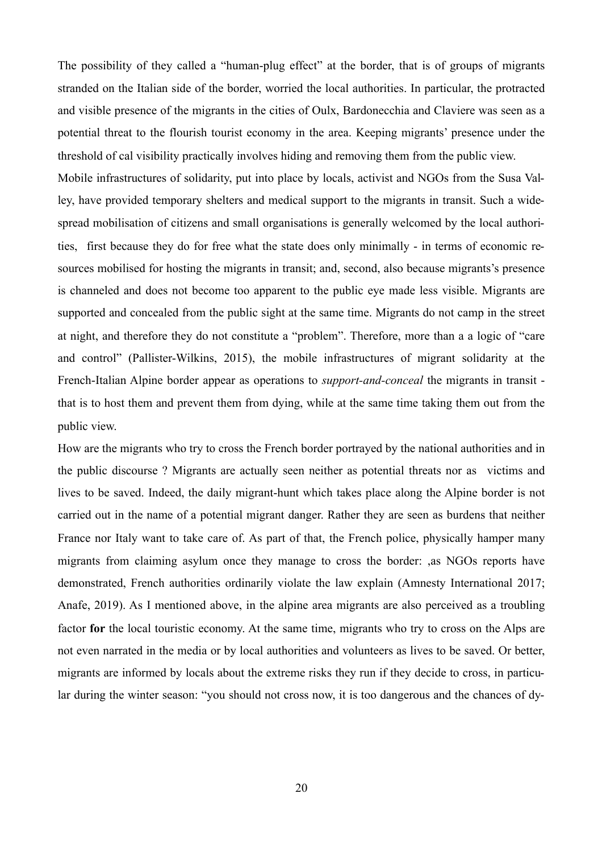The possibility of they called a "human-plug effect" at the border, that is of groups of migrants stranded on the Italian side of the border, worried the local authorities. In particular, the protracted and visible presence of the migrants in the cities of Oulx, Bardonecchia and Claviere was seen as a potential threat to the flourish tourist economy in the area. Keeping migrants' presence under the threshold of cal visibility practically involves hiding and removing them from the public view.

Mobile infrastructures of solidarity, put into place by locals, activist and NGOs from the Susa Valley, have provided temporary shelters and medical support to the migrants in transit. Such a widespread mobilisation of citizens and small organisations is generally welcomed by the local authorities, first because they do for free what the state does only minimally - in terms of economic resources mobilised for hosting the migrants in transit; and, second, also because migrants's presence is channeled and does not become too apparent to the public eye made less visible. Migrants are supported and concealed from the public sight at the same time. Migrants do not camp in the street at night, and therefore they do not constitute a "problem". Therefore, more than a a logic of "care and control" (Pallister-Wilkins, 2015), the mobile infrastructures of migrant solidarity at the French-Italian Alpine border appear as operations to *support-and-conceal* the migrants in transit that is to host them and prevent them from dying, while at the same time taking them out from the public view.

How are the migrants who try to cross the French border portrayed by the national authorities and in the public discourse ? Migrants are actually seen neither as potential threats nor as victims and lives to be saved. Indeed, the daily migrant-hunt which takes place along the Alpine border is not carried out in the name of a potential migrant danger. Rather they are seen as burdens that neither France nor Italy want to take care of. As part of that, the French police, physically hamper many migrants from claiming asylum once they manage to cross the border: ,as NGOs reports have demonstrated, French authorities ordinarily violate the law explain (Amnesty International 2017; Anafe, 2019). As I mentioned above, in the alpine area migrants are also perceived as a troubling factor **for** the local touristic economy. At the same time, migrants who try to cross on the Alps are not even narrated in the media or by local authorities and volunteers as lives to be saved. Or better, migrants are informed by locals about the extreme risks they run if they decide to cross, in particular during the winter season: "you should not cross now, it is too dangerous and the chances of dy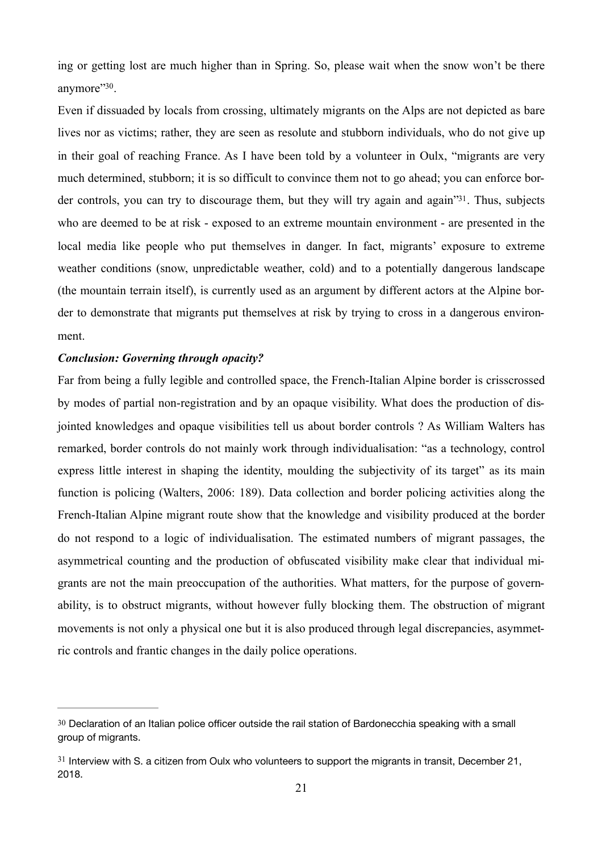<span id="page-21-2"></span>ing or getting lost are much higher than in Spring. So, please wait when the snow won't be there anymore" [30](#page-21-0).

<span id="page-21-3"></span>Even if dissuaded by locals from crossing, ultimately migrants on the Alps are not depicted as bare lives nor as victims; rather, they are seen as resolute and stubborn individuals, who do not give up in their goal of reaching France. As I have been told by a volunteer in Oulx, "migrants are very much determined, stubborn; it is so difficult to convince them not to go ahead; you can enforce bor-der controls, you can try to discourage them, but they will try again and again<sup>3[31](#page-21-1)</sup>. Thus, subjects who are deemed to be at risk - exposed to an extreme mountain environment - are presented in the local media like people who put themselves in danger. In fact, migrants' exposure to extreme weather conditions (snow, unpredictable weather, cold) and to a potentially dangerous landscape (the mountain terrain itself), is currently used as an argument by different actors at the Alpine border to demonstrate that migrants put themselves at risk by trying to cross in a dangerous environment.

#### *Conclusion: Governing through opacity?*

Far from being a fully legible and controlled space, the French-Italian Alpine border is crisscrossed by modes of partial non-registration and by an opaque visibility. What does the production of disjointed knowledges and opaque visibilities tell us about border controls ? As William Walters has remarked, border controls do not mainly work through individualisation: "as a technology, control express little interest in shaping the identity, moulding the subjectivity of its target" as its main function is policing (Walters, 2006: 189). Data collection and border policing activities along the French-Italian Alpine migrant route show that the knowledge and visibility produced at the border do not respond to a logic of individualisation. The estimated numbers of migrant passages, the asymmetrical counting and the production of obfuscated visibility make clear that individual migrants are not the main preoccupation of the authorities. What matters, for the purpose of governability, is to obstruct migrants, without however fully blocking them. The obstruction of migrant movements is not only a physical one but it is also produced through legal discrepancies, asymmetric controls and frantic changes in the daily police operations.

<span id="page-21-0"></span>[<sup>30</sup>](#page-21-2) Declaration of an Italian police officer outside the rail station of Bardonecchia speaking with a small group of migrants.

<span id="page-21-1"></span> $31$  Interview with S. a citizen from Oulx who volunteers to support the migrants in transit. December 21, 2018.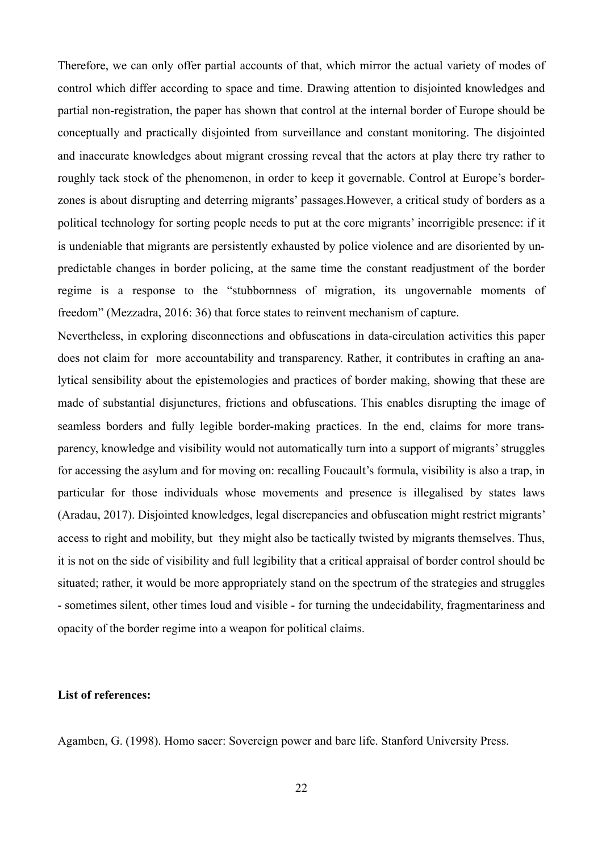Therefore, we can only offer partial accounts of that, which mirror the actual variety of modes of control which differ according to space and time. Drawing attention to disjointed knowledges and partial non-registration, the paper has shown that control at the internal border of Europe should be conceptually and practically disjointed from surveillance and constant monitoring. The disjointed and inaccurate knowledges about migrant crossing reveal that the actors at play there try rather to roughly tack stock of the phenomenon, in order to keep it governable. Control at Europe's borderzones is about disrupting and deterring migrants' passages.However, a critical study of borders as a political technology for sorting people needs to put at the core migrants' incorrigible presence: if it is undeniable that migrants are persistently exhausted by police violence and are disoriented by unpredictable changes in border policing, at the same time the constant readjustment of the border regime is a response to the "stubbornness of migration, its ungovernable moments of freedom" (Mezzadra, 2016: 36) that force states to reinvent mechanism of capture.

Nevertheless, in exploring disconnections and obfuscations in data-circulation activities this paper does not claim for more accountability and transparency. Rather, it contributes in crafting an analytical sensibility about the epistemologies and practices of border making, showing that these are made of substantial disjunctures, frictions and obfuscations. This enables disrupting the image of seamless borders and fully legible border-making practices. In the end, claims for more transparency, knowledge and visibility would not automatically turn into a support of migrants' struggles for accessing the asylum and for moving on: recalling Foucault's formula, visibility is also a trap, in particular for those individuals whose movements and presence is illegalised by states laws (Aradau, 2017). Disjointed knowledges, legal discrepancies and obfuscation might restrict migrants' access to right and mobility, but they might also be tactically twisted by migrants themselves. Thus, it is not on the side of visibility and full legibility that a critical appraisal of border control should be situated; rather, it would be more appropriately stand on the spectrum of the strategies and struggles - sometimes silent, other times loud and visible - for turning the undecidability, fragmentariness and opacity of the border regime into a weapon for political claims.

### **List of references:**

Agamben, G. (1998). Homo sacer: Sovereign power and bare life. Stanford University Press.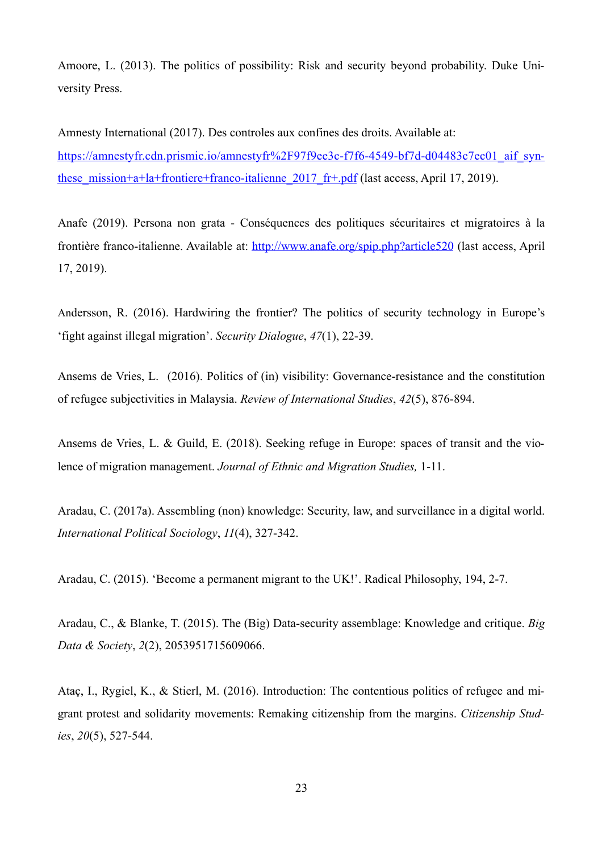Amoore, L. (2013). The politics of possibility: Risk and security beyond probability. Duke University Press.

Amnesty International (2017). Des controles aux confines des droits. Available at: [https://amnestyfr.cdn.prismic.io/amnestyfr%2F97f9ee3c-f7f6-4549-bf7d-d04483c7ec01\\_aif\\_syn](https://amnestyfr.cdn.prismic.io/amnestyfr%252525252525252F97f9ee3c-f7f6-4549-bf7d-d04483c7ec01_aif_synthese_mission+a+la+frontiere+franco-italienne_2017_fr+.pdf)these mission+a+la+frontiere+franco-italienne 2017 fr+.pdf (last access, April 17, 2019).

Anafe (2019). Persona non grata - Conséquences des politiques sécuritaires et migratoires à la frontière franco-italienne. Available at: <http://www.anafe.org/spip.php?article520> (last access, April 17, 2019).

Andersson, R. (2016). Hardwiring the frontier? The politics of security technology in Europe's 'fight against illegal migration'. *Security Dialogue*, *47*(1), 22-39.

Ansems de Vries, L. (2016). Politics of (in) visibility: Governance-resistance and the constitution of refugee subjectivities in Malaysia. *Review of International Studies*, *42*(5), 876-894.

Ansems de Vries, L. & Guild, E. (2018). Seeking refuge in Europe: spaces of transit and the violence of migration management. *Journal of Ethnic and Migration Studies,* 1-11.

Aradau, C. (2017a). Assembling (non) knowledge: Security, law, and surveillance in a digital world. *International Political Sociology*, *11*(4), 327-342.

Aradau, C. (2015). 'Become a permanent migrant to the UK!'. Radical Philosophy, 194, 2-7.

Aradau, C., & Blanke, T. (2015). The (Big) Data-security assemblage: Knowledge and critique. *Big Data & Society*, *2*(2), 2053951715609066.

Ataç, I., Rygiel, K., & Stierl, M. (2016). Introduction: The contentious politics of refugee and migrant protest and solidarity movements: Remaking citizenship from the margins. *Citizenship Studies*, *20*(5), 527-544.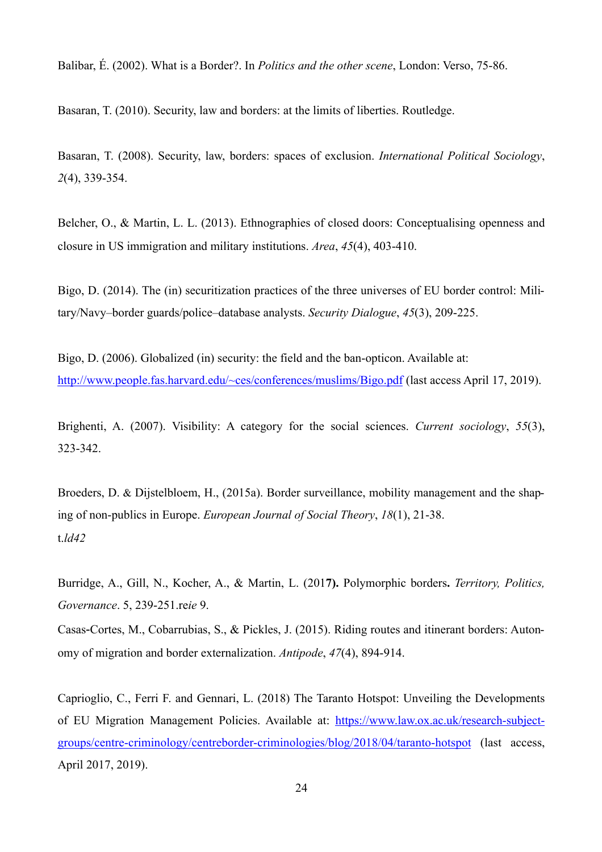Balibar, É. (2002). What is a Border?. In *Politics and the other scene*, London: Verso, 75-86.

Basaran, T. (2010). Security, law and borders: at the limits of liberties. Routledge.

Basaran, T. (2008). Security, law, borders: spaces of exclusion. *International Political Sociology*, *2*(4), 339-354.

Belcher, O., & Martin, L. L. (2013). Ethnographies of closed doors: Conceptualising openness and closure in US immigration and military institutions. *Area*, *45*(4), 403-410.

Bigo, D. (2014). The (in) securitization practices of the three universes of EU border control: Military/Navy–border guards/police–database analysts. *Security Dialogue*, *45*(3), 209-225.

Bigo, D. (2006). Globalized (in) security: the field and the ban-opticon. Available at: <http://www.people.fas.harvard.edu/~ces/conferences/muslims/Bigo.pdf> (last access April 17, 2019).

Brighenti, A. (2007). Visibility: A category for the social sciences. *Current sociology*, *55*(3), 323-342.

Broeders, D. & Dijstelbloem, H., (2015a). Border surveillance, mobility management and the shaping of non-publics in Europe. *European Journal of Social Theory*, *18*(1), 21-38. t.*ld42*

Burridge, A., Gill, N., Kocher, A., & Martin, L. (201**7).** Polymorphic borders**.** *Territory, Politics, Governance*. 5, 239-251.re*ie* 9.

Casas‐Cortes, M., Cobarrubias, S., & Pickles, J. (2015). Riding routes and itinerant borders: Autonomy of migration and border externalization. *Antipode*, *47*(4), 894-914.

Caprioglio, C., Ferri F. and Gennari, L. (2018) The Taranto Hotspot: Unveiling the Developments of EU Migration Management Policies. Available at: [https://www.law.ox.ac.uk/research-subject](https://www.law.ox.ac.uk/research-subject-groups/centre-criminology/centreborder-criminologies/blog/2018/04/taranto-hotspot)[groups/centre-criminology/centreborder-criminologies/blog/2018/04/taranto-hotspot \(last access,](https://www.law.ox.ac.uk/research-subject-groups/centre-criminology/centreborder-criminologies/blog/2018/04/taranto-hotspot) April 2017, 2019).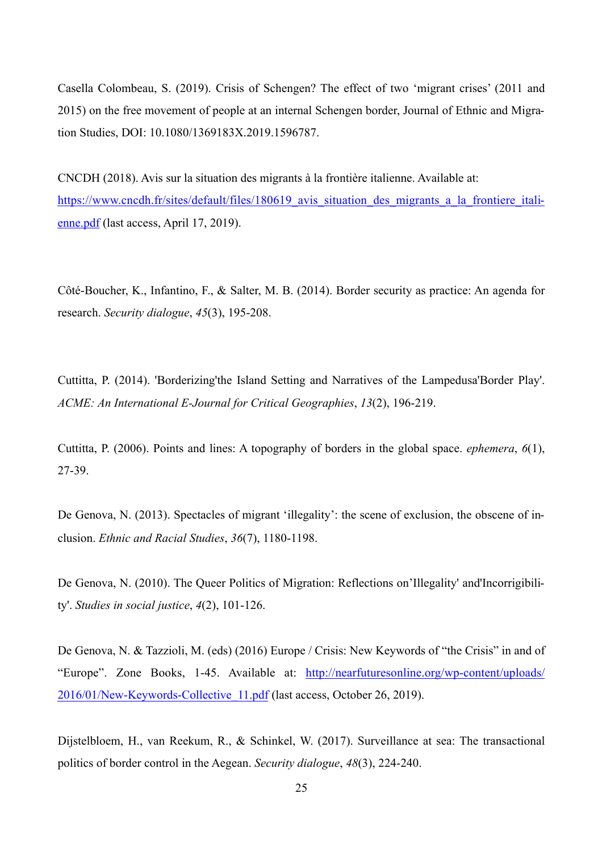Casella Colombeau, S. (2019). Crisis of Schengen? The effect of two 'migrant crises' (2011 and 2015) on the free movement of people at an internal Schengen border, Journal of Ethnic and Migration Studies, DOI: 10.1080/1369183X.2019.1596787.

CNCDH (2018). Avis sur la situation des migrants à la frontière italienne. Available at: https://www.cncdh.fr/sites/default/files/180619 avis situation des migrants a la frontiere itali[enne.pdf](https://www.cncdh.fr/sites/default/files/180619_avis_situation_des_migrants_a_la_frontiere_italienne.pdf) (last access, April 17, 2019).

Côté-Boucher, K., Infantino, F., & Salter, M. B. (2014). Border security as practice: An agenda for research. *Security dialogue*, *45*(3), 195-208.

Cuttitta, P. (2014). 'Borderizing'the Island Setting and Narratives of the Lampedusa'Border Play'. *ACME: An International E-Journal for Critical Geographies*, *13*(2), 196-219.

Cuttitta, P. (2006). Points and lines: A topography of borders in the global space. *ephemera*, *6*(1), 27-39.

De Genova, N. (2013). Spectacles of migrant 'illegality': the scene of exclusion, the obscene of inclusion. *Ethnic and Racial Studies*, *36*(7), 1180-1198.

De Genova, N. (2010). The Queer Politics of Migration: Reflections on'Illegality' and'Incorrigibility'. *Studies in social justice*, *4*(2), 101-126.

De Genova, N. & Tazzioli, M. (eds) (2016) Europe / Crisis: New Keywords of "the Crisis" in and of "Europe". Zone Books, 1-45. Available at: [http://nearfuturesonline.org/wp-content/uploads/](http://nearfuturesonline.org/wp-content/uploads/2016/01/New-Keywords-Collective_11.pdf) [2016/01/New-Keywords-Collective\\_11.pdf](http://nearfuturesonline.org/wp-content/uploads/2016/01/New-Keywords-Collective_11.pdf) (last access, October 26, 2019).

Dijstelbloem, H., van Reekum, R., & Schinkel, W. (2017). Surveillance at sea: The transactional politics of border control in the Aegean. *Security dialogue*, *48*(3), 224-240.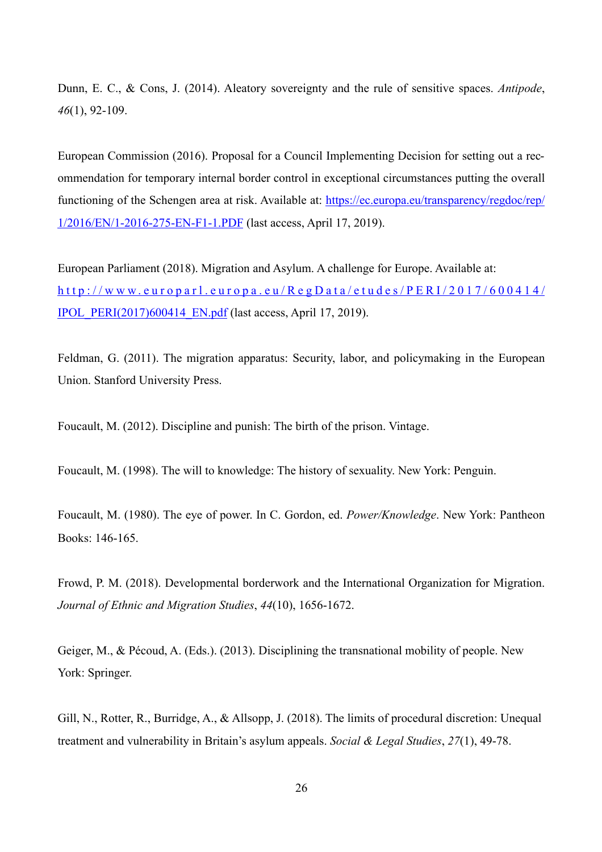Dunn, E. C., & Cons, J. (2014). Aleatory sovereignty and the rule of sensitive spaces. *Antipode*, *46*(1), 92-109.

European Commission (2016). Proposal for a Council Implementing Decision for setting out a recommendation for temporary internal border control in exceptional circumstances putting the overall functioning of the Schengen area at risk. Available at: [https://ec.europa.eu/transparency/regdoc/rep/](https://ec.europa.eu/transparency/regdoc/rep/1/2016/EN/1-2016-275-EN-F1-1.PDF) [1/2016/EN/1-2016-275-EN-F1-1.PDF](https://ec.europa.eu/transparency/regdoc/rep/1/2016/EN/1-2016-275-EN-F1-1.PDF) (last access, April 17, 2019).

European Parliament (2018). Migration and Asylum. A challenge for Europe. Available at: [http://www.europarl.europa.eu/RegData/etudes/PERI/2017/600414/](http://www.europarl.europa.eu/RegData/etudes/PERI/2017/600414/IPOL_PERI(2017)600414_EN.pdf) [IPOL\\_PERI\(2017\)600414\\_EN.pdf](http://www.europarl.europa.eu/RegData/etudes/PERI/2017/600414/IPOL_PERI(2017)600414_EN.pdf) (last access, April 17, 2019).

Feldman, G. (2011). The migration apparatus: Security, labor, and policymaking in the European Union. Stanford University Press.

Foucault, M. (2012). Discipline and punish: The birth of the prison. Vintage.

Foucault, M. (1998). The will to knowledge: The history of sexuality. New York: Penguin.

Foucault, M. (1980). The eye of power. In C. Gordon, ed. *Power/Knowledge*. New York: Pantheon Books: 146-165.

Frowd, P. M. (2018). Developmental borderwork and the International Organization for Migration. *Journal of Ethnic and Migration Studies*, *44*(10), 1656-1672.

Geiger, M., & Pécoud, A. (Eds.). (2013). Disciplining the transnational mobility of people. New York: Springer.

Gill, N., Rotter, R., Burridge, A., & Allsopp, J. (2018). The limits of procedural discretion: Unequal treatment and vulnerability in Britain's asylum appeals. *Social & Legal Studies*, *27*(1), 49-78.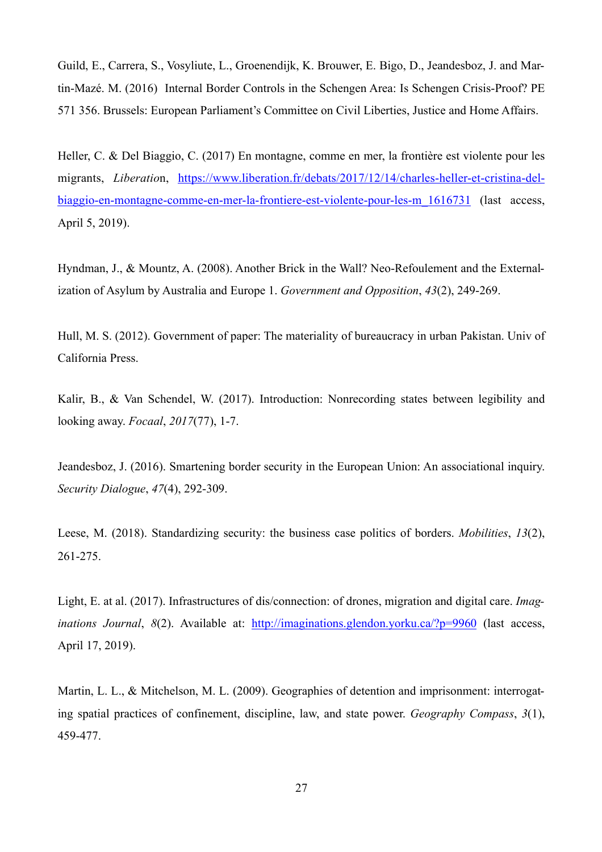Guild, E., Carrera, S., Vosyliute, L., Groenendijk, K. Brouwer, E. Bigo, D., Jeandesboz, J. and Martin-Mazé. M. (2016) Internal Border Controls in the Schengen Area: Is Schengen Crisis-Proof? PE 571 356. Brussels: European Parliament's Committee on Civil Liberties, Justice and Home Affairs.

Heller, C. & Del Biaggio, C. (2017) En montagne, comme en mer, la frontière est violente pour les migrants, *Liberatio*n, [https://www.liberation.fr/debats/2017/12/14/charles-heller-et-cristina-del](https://www.liberation.fr/debats/2017/12/14/charles-heller-et-cristina-del-biaggio-en-montagne-comme-en-mer-la-frontiere-est-violente-pour-les-m_1616731)[biaggio-en-montagne-comme-en-mer-la-frontiere-est-violente-pour-les-m\\_1616731 \(last access,](https://www.liberation.fr/debats/2017/12/14/charles-heller-et-cristina-del-biaggio-en-montagne-comme-en-mer-la-frontiere-est-violente-pour-les-m_1616731) April 5, 2019).

Hyndman, J., & Mountz, A. (2008). Another Brick in the Wall? Neo-Refoulement and the Externalization of Asylum by Australia and Europe 1. *Government and Opposition*, *43*(2), 249-269.

Hull, M. S. (2012). Government of paper: The materiality of bureaucracy in urban Pakistan. Univ of California Press.

Kalir, B., & Van Schendel, W. (2017). Introduction: Nonrecording states between legibility and looking away. *Focaal*, *2017*(77), 1-7.

Jeandesboz, J. (2016). Smartening border security in the European Union: An associational inquiry. *Security Dialogue*, *47*(4), 292-309.

Leese, M. (2018). Standardizing security: the business case politics of borders. *Mobilities*, *13*(2), 261-275.

Light, E. at al. (2017). Infrastructures of dis/connection: of drones, migration and digital care. *Imaginations Journal*, *8*(2). Available at: <http://imaginations.glendon.yorku.ca/?p=9960> (last access, April 17, 2019).

Martin, L. L., & Mitchelson, M. L. (2009). Geographies of detention and imprisonment: interrogating spatial practices of confinement, discipline, law, and state power. *Geography Compass*, *3*(1), 459-477.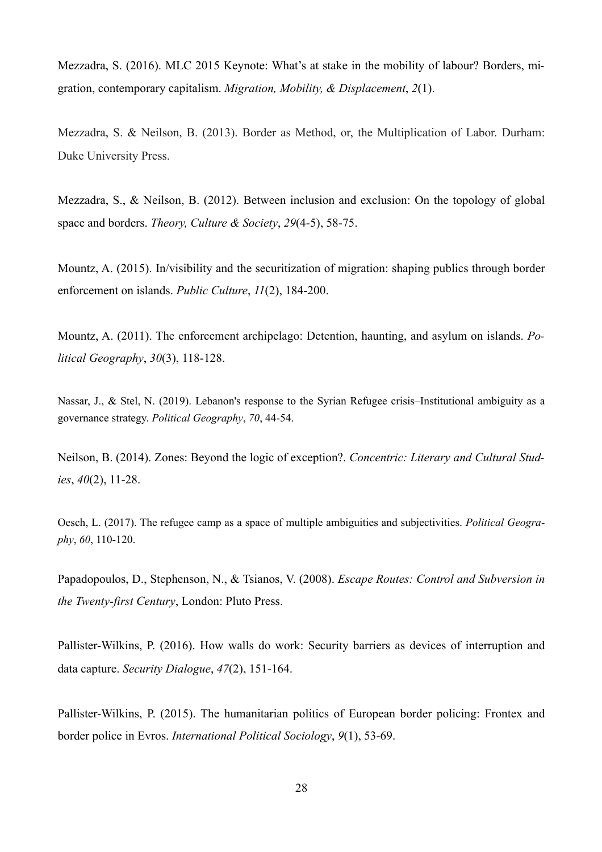Mezzadra, S. (2016). MLC 2015 Keynote: What's at stake in the mobility of labour? Borders, migration, contemporary capitalism. *Migration, Mobility, & Displacement*, *2*(1).

Mezzadra, S. & Neilson, B. (2013). Border as Method, or, the Multiplication of Labor. Durham: Duke University Press.

Mezzadra, S., & Neilson, B. (2012). Between inclusion and exclusion: On the topology of global space and borders. *Theory, Culture & Society*, *29*(4-5), 58-75.

Mountz, A. (2015). In/visibility and the securitization of migration: shaping publics through border enforcement on islands. *Public Culture*, *11*(2), 184-200.

Mountz, A. (2011). The enforcement archipelago: Detention, haunting, and asylum on islands. *Political Geography*, *30*(3), 118-128.

Nassar, J., & Stel, N. (2019). Lebanon's response to the Syrian Refugee crisis–Institutional ambiguity as a governance strategy. *Political Geography*, *70*, 44-54.

Neilson, B. (2014). Zones: Beyond the logic of exception?. *Concentric: Literary and Cultural Studies*, *40*(2), 11-28.

Oesch, L. (2017). The refugee camp as a space of multiple ambiguities and subjectivities. *Political Geography*, *60*, 110-120.

Papadopoulos, D., Stephenson, N., & Tsianos, V. (2008). *Escape Routes: Control and Subversion in the Twenty-first Century*, London: Pluto Press.

Pallister-Wilkins, P. (2016). How walls do work: Security barriers as devices of interruption and data capture. *Security Dialogue*, *47*(2), 151-164.

Pallister-Wilkins, P. (2015). The humanitarian politics of European border policing: Frontex and border police in Evros. *International Political Sociology*, *9*(1), 53-69.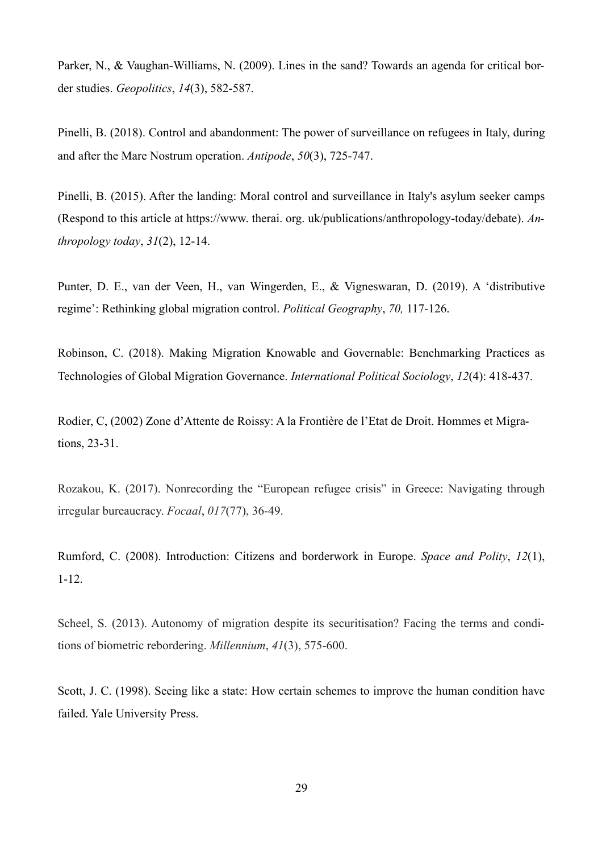Parker, N., & Vaughan-Williams, N. (2009). Lines in the sand? Towards an agenda for critical border studies. *Geopolitics*, *14*(3), 582-587.

Pinelli, B. (2018). Control and abandonment: The power of surveillance on refugees in Italy, during and after the Mare Nostrum operation. *Antipode*, *50*(3), 725-747.

Pinelli, B. (2015). After the landing: Moral control and surveillance in Italy's asylum seeker camps (Respond to this article at https://www. therai. org. uk/publications/anthropology-today/debate). *Anthropology today*, *31*(2), 12-14.

Punter, D. E., van der Veen, H., van Wingerden, E., & Vigneswaran, D. (2019). A 'distributive regime': Rethinking global migration control. *Political Geography*, *70,* 117-126.

Robinson, C. (2018). Making Migration Knowable and Governable: Benchmarking Practices as Technologies of Global Migration Governance. *International Political Sociology*, *12*(4): 418-437.

Rodier, C, (2002) Zone d'Attente de Roissy: A la Frontière de l'Etat de Droit. Hommes et Migrations, 23-31.

Rozakou, K. (2017). Nonrecording the "European refugee crisis" in Greece: Navigating through irregular bureaucracy. *Focaal*, *017*(77), 36-49.

Rumford, C. (2008). Introduction: Citizens and borderwork in Europe. *Space and Polity*, *12*(1), 1-12.

Scheel, S. (2013). Autonomy of migration despite its securitisation? Facing the terms and conditions of biometric rebordering. *Millennium*, *41*(3), 575-600.

Scott, J. C. (1998). Seeing like a state: How certain schemes to improve the human condition have failed. Yale University Press.